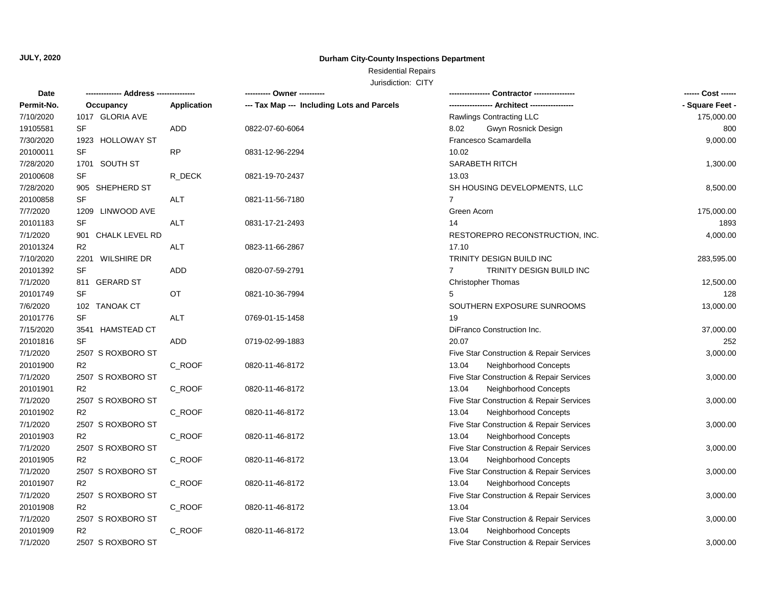## **Durham City-County Inspections Department**

# Residential Repairs

| Date       |                    |             | ---------- Owner ----------                |                                                     | ------ Cost ------ |
|------------|--------------------|-------------|--------------------------------------------|-----------------------------------------------------|--------------------|
| Permit-No. | Occupancy          | Application | --- Tax Map --- Including Lots and Parcels |                                                     | - Square Feet -    |
| 7/10/2020  | 1017 GLORIA AVE    |             |                                            | Rawlings Contracting LLC                            | 175,000.00         |
| 19105581   | SF                 | <b>ADD</b>  | 0822-07-60-6064                            | Gwyn Rosnick Design<br>8.02                         | 800                |
| 7/30/2020  | 1923 HOLLOWAY ST   |             |                                            | Francesco Scamardella                               | 9,000.00           |
| 20100011   | <b>SF</b>          | <b>RP</b>   | 0831-12-96-2294                            | 10.02                                               |                    |
| 7/28/2020  | 1701 SOUTH ST      |             |                                            | SARABETH RITCH                                      | 1,300.00           |
| 20100608   | SF                 | R_DECK      | 0821-19-70-2437                            | 13.03                                               |                    |
| 7/28/2020  | 905 SHEPHERD ST    |             |                                            | SH HOUSING DEVELOPMENTS, LLC                        | 8,500.00           |
| 20100858   | <b>SF</b>          | <b>ALT</b>  | 0821-11-56-7180                            | $\overline{7}$                                      |                    |
| 7/7/2020   | 1209 LINWOOD AVE   |             |                                            | Green Acorn                                         | 175,000.00         |
| 20101183   | SF                 | <b>ALT</b>  | 0831-17-21-2493                            | 14                                                  | 1893               |
| 7/1/2020   | 901 CHALK LEVEL RD |             |                                            | RESTOREPRO RECONSTRUCTION, INC.                     | 4,000.00           |
| 20101324   | R <sub>2</sub>     | <b>ALT</b>  | 0823-11-66-2867                            | 17.10                                               |                    |
| 7/10/2020  | 2201 WILSHIRE DR   |             |                                            | TRINITY DESIGN BUILD INC                            | 283,595.00         |
| 20101392   | <b>SF</b>          | <b>ADD</b>  | 0820-07-59-2791                            | TRINITY DESIGN BUILD INC<br>$7^{\circ}$             |                    |
| 7/1/2020   | 811 GERARD ST      |             |                                            | Christopher Thomas                                  | 12,500.00          |
| 20101749   | SF                 | OT          | 0821-10-36-7994                            | 5                                                   | 128                |
| 7/6/2020   | 102 TANOAK CT      |             |                                            | SOUTHERN EXPOSURE SUNROOMS                          | 13,000.00          |
| 20101776   | <b>SF</b>          | <b>ALT</b>  | 0769-01-15-1458                            | 19                                                  |                    |
| 7/15/2020  | 3541 HAMSTEAD CT   |             |                                            | DiFranco Construction Inc.                          | 37,000.00          |
| 20101816   | SF                 | <b>ADD</b>  | 0719-02-99-1883                            | 20.07                                               | 252                |
| 7/1/2020   | 2507 S ROXBORO ST  |             |                                            | Five Star Construction & Repair Services            | 3,000.00           |
| 20101900   | R <sub>2</sub>     | C_ROOF      | 0820-11-46-8172                            | 13.04<br>Neighborhood Concepts                      |                    |
| 7/1/2020   | 2507 S ROXBORO ST  |             |                                            | Five Star Construction & Repair Services            | 3,000.00           |
| 20101901   | R <sub>2</sub>     | C_ROOF      | 0820-11-46-8172                            | 13.04<br>Neighborhood Concepts                      |                    |
| 7/1/2020   | 2507 S ROXBORO ST  |             |                                            | Five Star Construction & Repair Services            | 3,000.00           |
| 20101902   | R <sub>2</sub>     | C_ROOF      | 0820-11-46-8172                            | 13.04<br>Neighborhood Concepts                      |                    |
| 7/1/2020   | 2507 S ROXBORO ST  |             |                                            | Five Star Construction & Repair Services            | 3,000.00           |
| 20101903   | R <sub>2</sub>     | C_ROOF      | 0820-11-46-8172                            | 13.04<br>Neighborhood Concepts                      |                    |
| 7/1/2020   | 2507 S ROXBORO ST  |             |                                            | Five Star Construction & Repair Services            | 3,000.00           |
| 20101905   | R <sub>2</sub>     | C_ROOF      | 0820-11-46-8172                            | 13.04<br>Neighborhood Concepts                      |                    |
| 7/1/2020   | 2507 S ROXBORO ST  |             |                                            | Five Star Construction & Repair Services            | 3,000.00           |
| 20101907   | R <sub>2</sub>     | C_ROOF      | 0820-11-46-8172                            | Neighborhood Concepts<br>13.04                      |                    |
| 7/1/2020   | 2507 S ROXBORO ST  |             |                                            | Five Star Construction & Repair Services            | 3,000.00           |
| 20101908   | R <sub>2</sub>     | C_ROOF      | 0820-11-46-8172                            | 13.04                                               |                    |
| 7/1/2020   | 2507 S ROXBORO ST  |             |                                            | Five Star Construction & Repair Services            | 3,000.00           |
| 20101909   | R2                 | C_ROOF      | 0820-11-46-8172                            | 13.04<br>Neighborhood Concepts                      |                    |
| 7/1/2020   | 2507 S ROXBORO ST  |             |                                            | <b>Five Star Construction &amp; Repair Services</b> | 3,000.00           |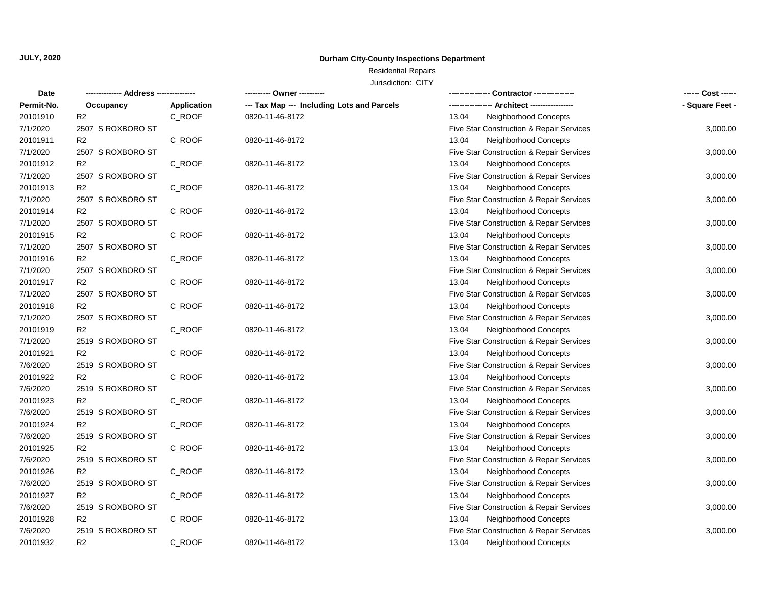## **Durham City-County Inspections Department**

# Residential Repairs

| <b>Date</b> |                   |                    | ---------- Owner ----------                |                                          | ------ Cost ------ |
|-------------|-------------------|--------------------|--------------------------------------------|------------------------------------------|--------------------|
| Permit-No.  | Occupancy         | <b>Application</b> | --- Tax Map --- Including Lots and Parcels |                                          | - Square Feet -    |
| 20101910    | R <sub>2</sub>    | C_ROOF             | 0820-11-46-8172                            | 13.04<br>Neighborhood Concepts           |                    |
| 7/1/2020    | 2507 S ROXBORO ST |                    |                                            | Five Star Construction & Repair Services | 3,000.00           |
| 20101911    | R <sub>2</sub>    | C_ROOF             | 0820-11-46-8172                            | 13.04<br>Neighborhood Concepts           |                    |
| 7/1/2020    | 2507 S ROXBORO ST |                    |                                            | Five Star Construction & Repair Services | 3,000.00           |
| 20101912    | R <sub>2</sub>    | C_ROOF             | 0820-11-46-8172                            | 13.04<br>Neighborhood Concepts           |                    |
| 7/1/2020    | 2507 S ROXBORO ST |                    |                                            | Five Star Construction & Repair Services | 3,000.00           |
| 20101913    | R2                | C_ROOF             | 0820-11-46-8172                            | 13.04<br>Neighborhood Concepts           |                    |
| 7/1/2020    | 2507 S ROXBORO ST |                    |                                            | Five Star Construction & Repair Services | 3,000.00           |
| 20101914    | R <sub>2</sub>    | C_ROOF             | 0820-11-46-8172                            | 13.04<br>Neighborhood Concepts           |                    |
| 7/1/2020    | 2507 S ROXBORO ST |                    |                                            | Five Star Construction & Repair Services | 3,000.00           |
| 20101915    | R <sub>2</sub>    | C_ROOF             | 0820-11-46-8172                            | 13.04<br>Neighborhood Concepts           |                    |
| 7/1/2020    | 2507 S ROXBORO ST |                    |                                            | Five Star Construction & Repair Services | 3,000.00           |
| 20101916    | R <sub>2</sub>    | C_ROOF             | 0820-11-46-8172                            | 13.04<br>Neighborhood Concepts           |                    |
| 7/1/2020    | 2507 S ROXBORO ST |                    |                                            | Five Star Construction & Repair Services | 3,000.00           |
| 20101917    | R <sub>2</sub>    | C_ROOF             | 0820-11-46-8172                            | 13.04<br>Neighborhood Concepts           |                    |
| 7/1/2020    | 2507 S ROXBORO ST |                    |                                            | Five Star Construction & Repair Services | 3,000.00           |
| 20101918    | R <sub>2</sub>    | C_ROOF             | 0820-11-46-8172                            | 13.04<br>Neighborhood Concepts           |                    |
| 7/1/2020    | 2507 S ROXBORO ST |                    |                                            | Five Star Construction & Repair Services | 3,000.00           |
| 20101919    | R <sub>2</sub>    | C_ROOF             | 0820-11-46-8172                            | 13.04<br>Neighborhood Concepts           |                    |
| 7/1/2020    | 2519 S ROXBORO ST |                    |                                            | Five Star Construction & Repair Services | 3,000.00           |
| 20101921    | R <sub>2</sub>    | C_ROOF             | 0820-11-46-8172                            | 13.04<br>Neighborhood Concepts           |                    |
| 7/6/2020    | 2519 S ROXBORO ST |                    |                                            | Five Star Construction & Repair Services | 3,000.00           |
| 20101922    | R <sub>2</sub>    | C_ROOF             | 0820-11-46-8172                            | 13.04<br>Neighborhood Concepts           |                    |
| 7/6/2020    | 2519 S ROXBORO ST |                    |                                            | Five Star Construction & Repair Services | 3,000.00           |
| 20101923    | R <sub>2</sub>    | C_ROOF             | 0820-11-46-8172                            | 13.04<br>Neighborhood Concepts           |                    |
| 7/6/2020    | 2519 S ROXBORO ST |                    |                                            | Five Star Construction & Repair Services | 3,000.00           |
| 20101924    | R <sub>2</sub>    | C_ROOF             | 0820-11-46-8172                            | 13.04<br>Neighborhood Concepts           |                    |
| 7/6/2020    | 2519 S ROXBORO ST |                    |                                            | Five Star Construction & Repair Services | 3,000.00           |
| 20101925    | R <sub>2</sub>    | C_ROOF             | 0820-11-46-8172                            | 13.04<br>Neighborhood Concepts           |                    |
| 7/6/2020    | 2519 S ROXBORO ST |                    |                                            | Five Star Construction & Repair Services | 3,000.00           |
| 20101926    | R <sub>2</sub>    | C_ROOF             | 0820-11-46-8172                            | 13.04<br>Neighborhood Concepts           |                    |
| 7/6/2020    | 2519 S ROXBORO ST |                    |                                            | Five Star Construction & Repair Services | 3,000.00           |
| 20101927    | R <sub>2</sub>    | C_ROOF             | 0820-11-46-8172                            | 13.04<br>Neighborhood Concepts           |                    |
| 7/6/2020    | 2519 S ROXBORO ST |                    |                                            | Five Star Construction & Repair Services | 3,000.00           |
| 20101928    | R <sub>2</sub>    | C_ROOF             | 0820-11-46-8172                            | 13.04<br>Neighborhood Concepts           |                    |
| 7/6/2020    | 2519 S ROXBORO ST |                    |                                            | Five Star Construction & Repair Services | 3,000.00           |
| 20101932    | R <sub>2</sub>    | C ROOF             | 0820-11-46-8172                            | 13.04<br>Neighborhood Concepts           |                    |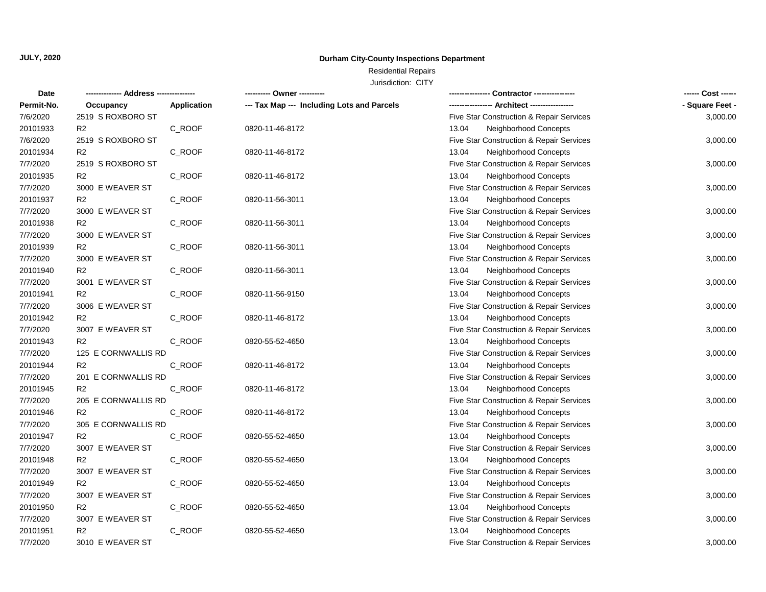## **Durham City-County Inspections Department**

# Residential Repairs

| Date       |                     |                    | ---------- Owner ----------                | --- Contractor ----------------          | ------ Cost ------ |
|------------|---------------------|--------------------|--------------------------------------------|------------------------------------------|--------------------|
| Permit-No. | Occupancy           | <b>Application</b> | --- Tax Map --- Including Lots and Parcels |                                          | - Square Feet -    |
| 7/6/2020   | 2519 S ROXBORO ST   |                    |                                            | Five Star Construction & Repair Services | 3,000.00           |
| 20101933   | R <sub>2</sub>      | C_ROOF             | 0820-11-46-8172                            | 13.04<br>Neighborhood Concepts           |                    |
| 7/6/2020   | 2519 S ROXBORO ST   |                    |                                            | Five Star Construction & Repair Services | 3,000.00           |
| 20101934   | R <sub>2</sub>      | C_ROOF             | 0820-11-46-8172                            | Neighborhood Concepts<br>13.04           |                    |
| 7/7/2020   | 2519 S ROXBORO ST   |                    |                                            | Five Star Construction & Repair Services | 3,000.00           |
| 20101935   | R <sub>2</sub>      | C_ROOF             | 0820-11-46-8172                            | 13.04<br>Neighborhood Concepts           |                    |
| 7/7/2020   | 3000 E WEAVER ST    |                    |                                            | Five Star Construction & Repair Services | 3,000.00           |
| 20101937   | R <sub>2</sub>      | C_ROOF             | 0820-11-56-3011                            | Neighborhood Concepts<br>13.04           |                    |
| 7/7/2020   | 3000 E WEAVER ST    |                    |                                            | Five Star Construction & Repair Services | 3,000.00           |
| 20101938   | R <sub>2</sub>      | C_ROOF             | 0820-11-56-3011                            | 13.04<br>Neighborhood Concepts           |                    |
| 7/7/2020   | 3000 E WEAVER ST    |                    |                                            | Five Star Construction & Repair Services | 3,000.00           |
| 20101939   | R <sub>2</sub>      | C_ROOF             | 0820-11-56-3011                            | Neighborhood Concepts<br>13.04           |                    |
| 7/7/2020   | 3000 E WEAVER ST    |                    |                                            | Five Star Construction & Repair Services | 3,000.00           |
| 20101940   | R <sub>2</sub>      | C_ROOF             | 0820-11-56-3011                            | 13.04<br>Neighborhood Concepts           |                    |
| 7/7/2020   | 3001 E WEAVER ST    |                    |                                            | Five Star Construction & Repair Services | 3,000.00           |
| 20101941   | R <sub>2</sub>      | C_ROOF             | 0820-11-56-9150                            | 13.04<br>Neighborhood Concepts           |                    |
| 7/7/2020   | 3006 E WEAVER ST    |                    |                                            | Five Star Construction & Repair Services | 3,000.00           |
| 20101942   | R <sub>2</sub>      | C ROOF             | 0820-11-46-8172                            | Neighborhood Concepts<br>13.04           |                    |
| 7/7/2020   | 3007 E WEAVER ST    |                    |                                            | Five Star Construction & Repair Services | 3,000.00           |
| 20101943   | R <sub>2</sub>      | C_ROOF             | 0820-55-52-4650                            | 13.04<br>Neighborhood Concepts           |                    |
| 7/7/2020   | 125 E CORNWALLIS RD |                    |                                            | Five Star Construction & Repair Services | 3,000.00           |
| 20101944   | R <sub>2</sub>      | C_ROOF             | 0820-11-46-8172                            | 13.04<br>Neighborhood Concepts           |                    |
| 7/7/2020   | 201 E CORNWALLIS RD |                    |                                            | Five Star Construction & Repair Services | 3,000.00           |
| 20101945   | R <sub>2</sub>      | C_ROOF             | 0820-11-46-8172                            | 13.04<br>Neighborhood Concepts           |                    |
| 7/7/2020   | 205 E CORNWALLIS RD |                    |                                            | Five Star Construction & Repair Services | 3,000.00           |
| 20101946   | R <sub>2</sub>      | C_ROOF             | 0820-11-46-8172                            | 13.04<br>Neighborhood Concepts           |                    |
| 7/7/2020   | 305 E CORNWALLIS RD |                    |                                            | Five Star Construction & Repair Services | 3,000.00           |
| 20101947   | R <sub>2</sub>      | C_ROOF             | 0820-55-52-4650                            | 13.04<br>Neighborhood Concepts           |                    |
| 7/7/2020   | 3007 E WEAVER ST    |                    |                                            | Five Star Construction & Repair Services | 3,000.00           |
| 20101948   | R <sub>2</sub>      | C_ROOF             | 0820-55-52-4650                            | 13.04<br>Neighborhood Concepts           |                    |
| 7/7/2020   | 3007 E WEAVER ST    |                    |                                            | Five Star Construction & Repair Services | 3,000.00           |
| 20101949   | R <sub>2</sub>      | C_ROOF             | 0820-55-52-4650                            | 13.04<br>Neighborhood Concepts           |                    |
| 7/7/2020   | 3007 E WEAVER ST    |                    |                                            | Five Star Construction & Repair Services | 3,000.00           |
| 20101950   | R <sub>2</sub>      | C_ROOF             | 0820-55-52-4650                            | Neighborhood Concepts<br>13.04           |                    |
| 7/7/2020   | 3007 E WEAVER ST    |                    |                                            | Five Star Construction & Repair Services | 3,000.00           |
| 20101951   | R2                  | C_ROOF             | 0820-55-52-4650                            | 13.04<br>Neighborhood Concepts           |                    |
| 7/7/2020   | 3010 E WEAVER ST    |                    |                                            | Five Star Construction & Repair Services | 3,000.00           |
|            |                     |                    |                                            |                                          |                    |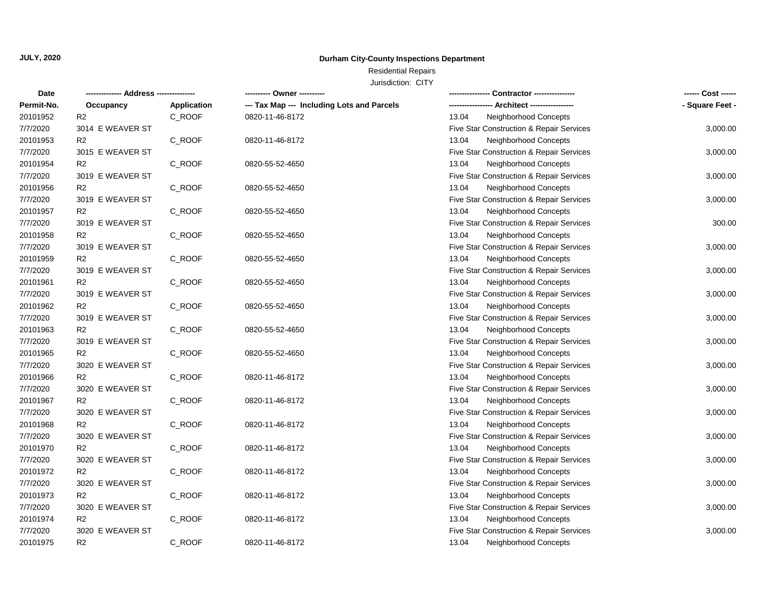## **Durham City-County Inspections Department**

# Residential Repairs

| <b>Date</b> | ----- Address ---------- |                    | ---------- Owner ----------                | -- Contractor ----------------                   | ------ Cost ------ |
|-------------|--------------------------|--------------------|--------------------------------------------|--------------------------------------------------|--------------------|
| Permit-No.  | Occupancy                | <b>Application</b> | --- Tax Map --- Including Lots and Parcels | --- Architect -----------------<br>------------- | - Square Feet -    |
| 20101952    | R <sub>2</sub>           | C_ROOF             | 0820-11-46-8172                            | 13.04<br>Neighborhood Concepts                   |                    |
| 7/7/2020    | 3014 E WEAVER ST         |                    |                                            | Five Star Construction & Repair Services         | 3,000.00           |
| 20101953    | R <sub>2</sub>           | C_ROOF             | 0820-11-46-8172                            | 13.04<br>Neighborhood Concepts                   |                    |
| 7/7/2020    | 3015 E WEAVER ST         |                    |                                            | Five Star Construction & Repair Services         | 3,000.00           |
| 20101954    | R <sub>2</sub>           | C_ROOF             | 0820-55-52-4650                            | 13.04<br>Neighborhood Concepts                   |                    |
| 7/7/2020    | 3019 E WEAVER ST         |                    |                                            | Five Star Construction & Repair Services         | 3,000.00           |
| 20101956    | R <sub>2</sub>           | C_ROOF             | 0820-55-52-4650                            | 13.04<br>Neighborhood Concepts                   |                    |
| 7/7/2020    | 3019 E WEAVER ST         |                    |                                            | Five Star Construction & Repair Services         | 3,000.00           |
| 20101957    | R <sub>2</sub>           | C_ROOF             | 0820-55-52-4650                            | Neighborhood Concepts<br>13.04                   |                    |
| 7/7/2020    | 3019 E WEAVER ST         |                    |                                            | Five Star Construction & Repair Services         | 300.00             |
| 20101958    | R <sub>2</sub>           | C_ROOF             | 0820-55-52-4650                            | Neighborhood Concepts<br>13.04                   |                    |
| 7/7/2020    | 3019 E WEAVER ST         |                    |                                            | Five Star Construction & Repair Services         | 3,000.00           |
| 20101959    | R <sub>2</sub>           | C_ROOF             | 0820-55-52-4650                            | 13.04<br>Neighborhood Concepts                   |                    |
| 7/7/2020    | 3019 E WEAVER ST         |                    |                                            | Five Star Construction & Repair Services         | 3,000.00           |
| 20101961    | R <sub>2</sub>           | C_ROOF             | 0820-55-52-4650                            | 13.04<br>Neighborhood Concepts                   |                    |
| 7/7/2020    | 3019 E WEAVER ST         |                    |                                            | Five Star Construction & Repair Services         | 3,000.00           |
| 20101962    | R <sub>2</sub>           | C ROOF             | 0820-55-52-4650                            | 13.04<br>Neighborhood Concepts                   |                    |
| 7/7/2020    | 3019 E WEAVER ST         |                    |                                            | Five Star Construction & Repair Services         | 3,000.00           |
| 20101963    | R <sub>2</sub>           | C_ROOF             | 0820-55-52-4650                            | 13.04<br>Neighborhood Concepts                   |                    |
| 7/7/2020    | 3019 E WEAVER ST         |                    |                                            | Five Star Construction & Repair Services         | 3,000.00           |
| 20101965    | R <sub>2</sub>           | C_ROOF             | 0820-55-52-4650                            | Neighborhood Concepts<br>13.04                   |                    |
| 7/7/2020    | 3020 E WEAVER ST         |                    |                                            | Five Star Construction & Repair Services         | 3,000.00           |
| 20101966    | R <sub>2</sub>           | C_ROOF             | 0820-11-46-8172                            | 13.04<br>Neighborhood Concepts                   |                    |
| 7/7/2020    | 3020 E WEAVER ST         |                    |                                            | Five Star Construction & Repair Services         | 3,000.00           |
| 20101967    | R <sub>2</sub>           | C ROOF             | 0820-11-46-8172                            | 13.04<br>Neighborhood Concepts                   |                    |
| 7/7/2020    | 3020 E WEAVER ST         |                    |                                            | Five Star Construction & Repair Services         | 3,000.00           |
| 20101968    | R <sub>2</sub>           | C_ROOF             | 0820-11-46-8172                            | 13.04<br>Neighborhood Concepts                   |                    |
| 7/7/2020    | 3020 E WEAVER ST         |                    |                                            | Five Star Construction & Repair Services         | 3,000.00           |
| 20101970    | R <sub>2</sub>           | C_ROOF             | 0820-11-46-8172                            | 13.04<br>Neighborhood Concepts                   |                    |
| 7/7/2020    | 3020 E WEAVER ST         |                    |                                            | Five Star Construction & Repair Services         | 3,000.00           |
| 20101972    | R <sub>2</sub>           | C_ROOF             | 0820-11-46-8172                            | 13.04<br>Neighborhood Concepts                   |                    |
| 7/7/2020    | 3020 E WEAVER ST         |                    |                                            | Five Star Construction & Repair Services         | 3,000.00           |
| 20101973    | R <sub>2</sub>           | C_ROOF             | 0820-11-46-8172                            | 13.04<br>Neighborhood Concepts                   |                    |
| 7/7/2020    | 3020 E WEAVER ST         |                    |                                            | Five Star Construction & Repair Services         | 3,000.00           |
| 20101974    | R <sub>2</sub>           | C_ROOF             | 0820-11-46-8172                            | 13.04<br>Neighborhood Concepts                   |                    |
| 7/7/2020    | 3020 E WEAVER ST         |                    |                                            | Five Star Construction & Repair Services         | 3,000.00           |
| 20101975    | R <sub>2</sub>           | C ROOF             | 0820-11-46-8172                            | 13.04<br>Neighborhood Concepts                   |                    |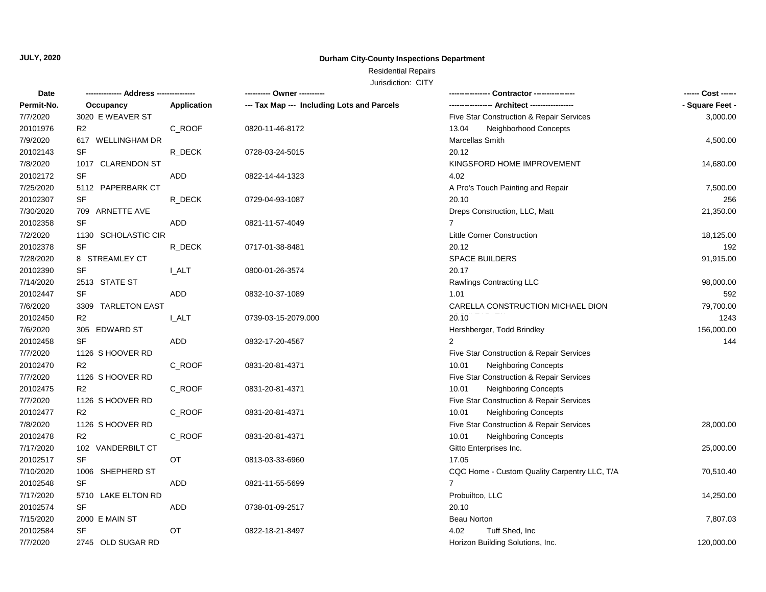## **Durham City-County Inspections Department**

# Residential Repairs

| Permit-No.<br>--- Tax Map --- Including Lots and Parcels<br>- Square Feet -<br>Application<br>Occupancy<br>7/7/2020<br>3020 E WEAVER ST<br>Five Star Construction & Repair Services<br>3,000.00<br>20101976<br>R <sub>2</sub><br>C_ROOF<br>0820-11-46-8172<br>13.04<br>Neighborhood Concepts<br>7/9/2020<br>617 WELLINGHAM DR<br>Marcellas Smith<br>4,500.00<br>20102143<br>SF<br>20.12<br>R_DECK<br>0728-03-24-5015<br>7/8/2020<br>1017 CLARENDON ST<br>KINGSFORD HOME IMPROVEMENT<br>14,680.00<br>20102172<br>SF<br>ADD<br>4.02<br>0822-14-44-1323<br>7/25/2020<br>5112 PAPERBARK CT<br>A Pro's Touch Painting and Repair<br>7,500.00<br><b>SF</b><br>20102307<br>R DECK<br>256<br>0729-04-93-1087<br>20.10<br>7/30/2020<br>709 ARNETTE AVE<br>Dreps Construction, LLC, Matt<br>21,350.00<br>SF<br>20102358<br><b>ADD</b><br>$\overline{7}$<br>0821-11-57-4049<br>7/2/2020<br>1130 SCHOLASTIC CIR<br><b>Little Corner Construction</b><br>18,125.00<br><b>SF</b><br>20102378<br>20.12<br>192<br>R_DECK<br>0717-01-38-8481<br>7/28/2020<br>8 STREAMLEY CT<br><b>SPACE BUILDERS</b><br>91,915.00<br><b>SF</b><br>20102390<br>20.17<br><b>L_ALT</b><br>0800-01-26-3574<br>7/14/2020<br>2513 STATE ST<br>Rawlings Contracting LLC<br>98,000.00<br>20102447<br>SF<br>592<br>ADD<br>0832-10-37-1089<br>1.01<br>79,700.00<br>7/6/2020<br>3309 TARLETON EAST<br>CARELLA CONSTRUCTION MICHAEL DION<br>1243<br>20102450<br>R <sub>2</sub><br><b>L_ALT</b><br>20.10<br>0739-03-15-2079.000<br>7/6/2020<br>156,000.00<br>305 EDWARD ST<br>Hershberger, Todd Brindley<br><b>SF</b><br>20102458<br>ADD<br>$\overline{2}$<br>144<br>0832-17-20-4567<br>7/7/2020<br>1126 S HOOVER RD<br>Five Star Construction & Repair Services<br>20102470<br>R <sub>2</sub><br>C_ROOF<br><b>Neighboring Concepts</b><br>0831-20-81-4371<br>10.01<br>7/7/2020<br>1126 S HOOVER RD<br>Five Star Construction & Repair Services<br>20102475<br>R <sub>2</sub><br>10.01<br><b>Neighboring Concepts</b><br>C_ROOF<br>0831-20-81-4371<br>7/7/2020<br>1126 S HOOVER RD<br>Five Star Construction & Repair Services<br>R2<br>C_ROOF<br>10.01<br>Neighboring Concepts<br>20102477<br>0831-20-81-4371<br>7/8/2020<br>1126 S HOOVER RD<br>Five Star Construction & Repair Services<br>28,000.00<br>20102478<br>R <sub>2</sub><br>C_ROOF<br>10.01<br>0831-20-81-4371<br><b>Neighboring Concepts</b><br>7/17/2020<br>102 VANDERBILT CT<br>Gitto Enterprises Inc.<br>25,000.00<br>20102517<br>SF<br>OT<br>17.05<br>0813-03-33-6960<br>7/10/2020<br>1006 SHEPHERD ST<br>CQC Home - Custom Quality Carpentry LLC, T/A<br>70,510.40<br><b>SF</b><br>20102548<br><b>ADD</b><br>$7^{\circ}$<br>0821-11-55-5699<br>7/17/2020<br>5710 LAKE ELTON RD<br>Probuiltco, LLC<br>14,250.00<br>SF<br>20102574<br><b>ADD</b><br>20.10<br>0738-01-09-2517<br>7/15/2020<br>2000 E MAIN ST<br>7,807.03<br><b>Beau Norton</b><br>SF<br>20102584<br>OT<br>4.02<br>Tuff Shed, Inc<br>0822-18-21-8497<br>7/7/2020<br>2745 OLD SUGAR RD<br>Horizon Building Solutions, Inc.<br>120,000.00 | <b>Date</b> |  | ---------- Owner ---------- |  |
|--------------------------------------------------------------------------------------------------------------------------------------------------------------------------------------------------------------------------------------------------------------------------------------------------------------------------------------------------------------------------------------------------------------------------------------------------------------------------------------------------------------------------------------------------------------------------------------------------------------------------------------------------------------------------------------------------------------------------------------------------------------------------------------------------------------------------------------------------------------------------------------------------------------------------------------------------------------------------------------------------------------------------------------------------------------------------------------------------------------------------------------------------------------------------------------------------------------------------------------------------------------------------------------------------------------------------------------------------------------------------------------------------------------------------------------------------------------------------------------------------------------------------------------------------------------------------------------------------------------------------------------------------------------------------------------------------------------------------------------------------------------------------------------------------------------------------------------------------------------------------------------------------------------------------------------------------------------------------------------------------------------------------------------------------------------------------------------------------------------------------------------------------------------------------------------------------------------------------------------------------------------------------------------------------------------------------------------------------------------------------------------------------------------------------------------------------------------------------------------------------------------------------------------------------------------------------------------------------------------------------------------------------------------------------------------------------------------------------------------------------------------------------------------------------------------------------------------------------------------------------------------------------------------------------------------------------------------------------------------------------------------------------|-------------|--|-----------------------------|--|
|                                                                                                                                                                                                                                                                                                                                                                                                                                                                                                                                                                                                                                                                                                                                                                                                                                                                                                                                                                                                                                                                                                                                                                                                                                                                                                                                                                                                                                                                                                                                                                                                                                                                                                                                                                                                                                                                                                                                                                                                                                                                                                                                                                                                                                                                                                                                                                                                                                                                                                                                                                                                                                                                                                                                                                                                                                                                                                                                                                                                                          |             |  |                             |  |
|                                                                                                                                                                                                                                                                                                                                                                                                                                                                                                                                                                                                                                                                                                                                                                                                                                                                                                                                                                                                                                                                                                                                                                                                                                                                                                                                                                                                                                                                                                                                                                                                                                                                                                                                                                                                                                                                                                                                                                                                                                                                                                                                                                                                                                                                                                                                                                                                                                                                                                                                                                                                                                                                                                                                                                                                                                                                                                                                                                                                                          |             |  |                             |  |
|                                                                                                                                                                                                                                                                                                                                                                                                                                                                                                                                                                                                                                                                                                                                                                                                                                                                                                                                                                                                                                                                                                                                                                                                                                                                                                                                                                                                                                                                                                                                                                                                                                                                                                                                                                                                                                                                                                                                                                                                                                                                                                                                                                                                                                                                                                                                                                                                                                                                                                                                                                                                                                                                                                                                                                                                                                                                                                                                                                                                                          |             |  |                             |  |
|                                                                                                                                                                                                                                                                                                                                                                                                                                                                                                                                                                                                                                                                                                                                                                                                                                                                                                                                                                                                                                                                                                                                                                                                                                                                                                                                                                                                                                                                                                                                                                                                                                                                                                                                                                                                                                                                                                                                                                                                                                                                                                                                                                                                                                                                                                                                                                                                                                                                                                                                                                                                                                                                                                                                                                                                                                                                                                                                                                                                                          |             |  |                             |  |
|                                                                                                                                                                                                                                                                                                                                                                                                                                                                                                                                                                                                                                                                                                                                                                                                                                                                                                                                                                                                                                                                                                                                                                                                                                                                                                                                                                                                                                                                                                                                                                                                                                                                                                                                                                                                                                                                                                                                                                                                                                                                                                                                                                                                                                                                                                                                                                                                                                                                                                                                                                                                                                                                                                                                                                                                                                                                                                                                                                                                                          |             |  |                             |  |
|                                                                                                                                                                                                                                                                                                                                                                                                                                                                                                                                                                                                                                                                                                                                                                                                                                                                                                                                                                                                                                                                                                                                                                                                                                                                                                                                                                                                                                                                                                                                                                                                                                                                                                                                                                                                                                                                                                                                                                                                                                                                                                                                                                                                                                                                                                                                                                                                                                                                                                                                                                                                                                                                                                                                                                                                                                                                                                                                                                                                                          |             |  |                             |  |
|                                                                                                                                                                                                                                                                                                                                                                                                                                                                                                                                                                                                                                                                                                                                                                                                                                                                                                                                                                                                                                                                                                                                                                                                                                                                                                                                                                                                                                                                                                                                                                                                                                                                                                                                                                                                                                                                                                                                                                                                                                                                                                                                                                                                                                                                                                                                                                                                                                                                                                                                                                                                                                                                                                                                                                                                                                                                                                                                                                                                                          |             |  |                             |  |
|                                                                                                                                                                                                                                                                                                                                                                                                                                                                                                                                                                                                                                                                                                                                                                                                                                                                                                                                                                                                                                                                                                                                                                                                                                                                                                                                                                                                                                                                                                                                                                                                                                                                                                                                                                                                                                                                                                                                                                                                                                                                                                                                                                                                                                                                                                                                                                                                                                                                                                                                                                                                                                                                                                                                                                                                                                                                                                                                                                                                                          |             |  |                             |  |
|                                                                                                                                                                                                                                                                                                                                                                                                                                                                                                                                                                                                                                                                                                                                                                                                                                                                                                                                                                                                                                                                                                                                                                                                                                                                                                                                                                                                                                                                                                                                                                                                                                                                                                                                                                                                                                                                                                                                                                                                                                                                                                                                                                                                                                                                                                                                                                                                                                                                                                                                                                                                                                                                                                                                                                                                                                                                                                                                                                                                                          |             |  |                             |  |
|                                                                                                                                                                                                                                                                                                                                                                                                                                                                                                                                                                                                                                                                                                                                                                                                                                                                                                                                                                                                                                                                                                                                                                                                                                                                                                                                                                                                                                                                                                                                                                                                                                                                                                                                                                                                                                                                                                                                                                                                                                                                                                                                                                                                                                                                                                                                                                                                                                                                                                                                                                                                                                                                                                                                                                                                                                                                                                                                                                                                                          |             |  |                             |  |
|                                                                                                                                                                                                                                                                                                                                                                                                                                                                                                                                                                                                                                                                                                                                                                                                                                                                                                                                                                                                                                                                                                                                                                                                                                                                                                                                                                                                                                                                                                                                                                                                                                                                                                                                                                                                                                                                                                                                                                                                                                                                                                                                                                                                                                                                                                                                                                                                                                                                                                                                                                                                                                                                                                                                                                                                                                                                                                                                                                                                                          |             |  |                             |  |
|                                                                                                                                                                                                                                                                                                                                                                                                                                                                                                                                                                                                                                                                                                                                                                                                                                                                                                                                                                                                                                                                                                                                                                                                                                                                                                                                                                                                                                                                                                                                                                                                                                                                                                                                                                                                                                                                                                                                                                                                                                                                                                                                                                                                                                                                                                                                                                                                                                                                                                                                                                                                                                                                                                                                                                                                                                                                                                                                                                                                                          |             |  |                             |  |
|                                                                                                                                                                                                                                                                                                                                                                                                                                                                                                                                                                                                                                                                                                                                                                                                                                                                                                                                                                                                                                                                                                                                                                                                                                                                                                                                                                                                                                                                                                                                                                                                                                                                                                                                                                                                                                                                                                                                                                                                                                                                                                                                                                                                                                                                                                                                                                                                                                                                                                                                                                                                                                                                                                                                                                                                                                                                                                                                                                                                                          |             |  |                             |  |
|                                                                                                                                                                                                                                                                                                                                                                                                                                                                                                                                                                                                                                                                                                                                                                                                                                                                                                                                                                                                                                                                                                                                                                                                                                                                                                                                                                                                                                                                                                                                                                                                                                                                                                                                                                                                                                                                                                                                                                                                                                                                                                                                                                                                                                                                                                                                                                                                                                                                                                                                                                                                                                                                                                                                                                                                                                                                                                                                                                                                                          |             |  |                             |  |
|                                                                                                                                                                                                                                                                                                                                                                                                                                                                                                                                                                                                                                                                                                                                                                                                                                                                                                                                                                                                                                                                                                                                                                                                                                                                                                                                                                                                                                                                                                                                                                                                                                                                                                                                                                                                                                                                                                                                                                                                                                                                                                                                                                                                                                                                                                                                                                                                                                                                                                                                                                                                                                                                                                                                                                                                                                                                                                                                                                                                                          |             |  |                             |  |
|                                                                                                                                                                                                                                                                                                                                                                                                                                                                                                                                                                                                                                                                                                                                                                                                                                                                                                                                                                                                                                                                                                                                                                                                                                                                                                                                                                                                                                                                                                                                                                                                                                                                                                                                                                                                                                                                                                                                                                                                                                                                                                                                                                                                                                                                                                                                                                                                                                                                                                                                                                                                                                                                                                                                                                                                                                                                                                                                                                                                                          |             |  |                             |  |
|                                                                                                                                                                                                                                                                                                                                                                                                                                                                                                                                                                                                                                                                                                                                                                                                                                                                                                                                                                                                                                                                                                                                                                                                                                                                                                                                                                                                                                                                                                                                                                                                                                                                                                                                                                                                                                                                                                                                                                                                                                                                                                                                                                                                                                                                                                                                                                                                                                                                                                                                                                                                                                                                                                                                                                                                                                                                                                                                                                                                                          |             |  |                             |  |
|                                                                                                                                                                                                                                                                                                                                                                                                                                                                                                                                                                                                                                                                                                                                                                                                                                                                                                                                                                                                                                                                                                                                                                                                                                                                                                                                                                                                                                                                                                                                                                                                                                                                                                                                                                                                                                                                                                                                                                                                                                                                                                                                                                                                                                                                                                                                                                                                                                                                                                                                                                                                                                                                                                                                                                                                                                                                                                                                                                                                                          |             |  |                             |  |
|                                                                                                                                                                                                                                                                                                                                                                                                                                                                                                                                                                                                                                                                                                                                                                                                                                                                                                                                                                                                                                                                                                                                                                                                                                                                                                                                                                                                                                                                                                                                                                                                                                                                                                                                                                                                                                                                                                                                                                                                                                                                                                                                                                                                                                                                                                                                                                                                                                                                                                                                                                                                                                                                                                                                                                                                                                                                                                                                                                                                                          |             |  |                             |  |
|                                                                                                                                                                                                                                                                                                                                                                                                                                                                                                                                                                                                                                                                                                                                                                                                                                                                                                                                                                                                                                                                                                                                                                                                                                                                                                                                                                                                                                                                                                                                                                                                                                                                                                                                                                                                                                                                                                                                                                                                                                                                                                                                                                                                                                                                                                                                                                                                                                                                                                                                                                                                                                                                                                                                                                                                                                                                                                                                                                                                                          |             |  |                             |  |
|                                                                                                                                                                                                                                                                                                                                                                                                                                                                                                                                                                                                                                                                                                                                                                                                                                                                                                                                                                                                                                                                                                                                                                                                                                                                                                                                                                                                                                                                                                                                                                                                                                                                                                                                                                                                                                                                                                                                                                                                                                                                                                                                                                                                                                                                                                                                                                                                                                                                                                                                                                                                                                                                                                                                                                                                                                                                                                                                                                                                                          |             |  |                             |  |
|                                                                                                                                                                                                                                                                                                                                                                                                                                                                                                                                                                                                                                                                                                                                                                                                                                                                                                                                                                                                                                                                                                                                                                                                                                                                                                                                                                                                                                                                                                                                                                                                                                                                                                                                                                                                                                                                                                                                                                                                                                                                                                                                                                                                                                                                                                                                                                                                                                                                                                                                                                                                                                                                                                                                                                                                                                                                                                                                                                                                                          |             |  |                             |  |
|                                                                                                                                                                                                                                                                                                                                                                                                                                                                                                                                                                                                                                                                                                                                                                                                                                                                                                                                                                                                                                                                                                                                                                                                                                                                                                                                                                                                                                                                                                                                                                                                                                                                                                                                                                                                                                                                                                                                                                                                                                                                                                                                                                                                                                                                                                                                                                                                                                                                                                                                                                                                                                                                                                                                                                                                                                                                                                                                                                                                                          |             |  |                             |  |
|                                                                                                                                                                                                                                                                                                                                                                                                                                                                                                                                                                                                                                                                                                                                                                                                                                                                                                                                                                                                                                                                                                                                                                                                                                                                                                                                                                                                                                                                                                                                                                                                                                                                                                                                                                                                                                                                                                                                                                                                                                                                                                                                                                                                                                                                                                                                                                                                                                                                                                                                                                                                                                                                                                                                                                                                                                                                                                                                                                                                                          |             |  |                             |  |
|                                                                                                                                                                                                                                                                                                                                                                                                                                                                                                                                                                                                                                                                                                                                                                                                                                                                                                                                                                                                                                                                                                                                                                                                                                                                                                                                                                                                                                                                                                                                                                                                                                                                                                                                                                                                                                                                                                                                                                                                                                                                                                                                                                                                                                                                                                                                                                                                                                                                                                                                                                                                                                                                                                                                                                                                                                                                                                                                                                                                                          |             |  |                             |  |
|                                                                                                                                                                                                                                                                                                                                                                                                                                                                                                                                                                                                                                                                                                                                                                                                                                                                                                                                                                                                                                                                                                                                                                                                                                                                                                                                                                                                                                                                                                                                                                                                                                                                                                                                                                                                                                                                                                                                                                                                                                                                                                                                                                                                                                                                                                                                                                                                                                                                                                                                                                                                                                                                                                                                                                                                                                                                                                                                                                                                                          |             |  |                             |  |
|                                                                                                                                                                                                                                                                                                                                                                                                                                                                                                                                                                                                                                                                                                                                                                                                                                                                                                                                                                                                                                                                                                                                                                                                                                                                                                                                                                                                                                                                                                                                                                                                                                                                                                                                                                                                                                                                                                                                                                                                                                                                                                                                                                                                                                                                                                                                                                                                                                                                                                                                                                                                                                                                                                                                                                                                                                                                                                                                                                                                                          |             |  |                             |  |
|                                                                                                                                                                                                                                                                                                                                                                                                                                                                                                                                                                                                                                                                                                                                                                                                                                                                                                                                                                                                                                                                                                                                                                                                                                                                                                                                                                                                                                                                                                                                                                                                                                                                                                                                                                                                                                                                                                                                                                                                                                                                                                                                                                                                                                                                                                                                                                                                                                                                                                                                                                                                                                                                                                                                                                                                                                                                                                                                                                                                                          |             |  |                             |  |
|                                                                                                                                                                                                                                                                                                                                                                                                                                                                                                                                                                                                                                                                                                                                                                                                                                                                                                                                                                                                                                                                                                                                                                                                                                                                                                                                                                                                                                                                                                                                                                                                                                                                                                                                                                                                                                                                                                                                                                                                                                                                                                                                                                                                                                                                                                                                                                                                                                                                                                                                                                                                                                                                                                                                                                                                                                                                                                                                                                                                                          |             |  |                             |  |
|                                                                                                                                                                                                                                                                                                                                                                                                                                                                                                                                                                                                                                                                                                                                                                                                                                                                                                                                                                                                                                                                                                                                                                                                                                                                                                                                                                                                                                                                                                                                                                                                                                                                                                                                                                                                                                                                                                                                                                                                                                                                                                                                                                                                                                                                                                                                                                                                                                                                                                                                                                                                                                                                                                                                                                                                                                                                                                                                                                                                                          |             |  |                             |  |
|                                                                                                                                                                                                                                                                                                                                                                                                                                                                                                                                                                                                                                                                                                                                                                                                                                                                                                                                                                                                                                                                                                                                                                                                                                                                                                                                                                                                                                                                                                                                                                                                                                                                                                                                                                                                                                                                                                                                                                                                                                                                                                                                                                                                                                                                                                                                                                                                                                                                                                                                                                                                                                                                                                                                                                                                                                                                                                                                                                                                                          |             |  |                             |  |
|                                                                                                                                                                                                                                                                                                                                                                                                                                                                                                                                                                                                                                                                                                                                                                                                                                                                                                                                                                                                                                                                                                                                                                                                                                                                                                                                                                                                                                                                                                                                                                                                                                                                                                                                                                                                                                                                                                                                                                                                                                                                                                                                                                                                                                                                                                                                                                                                                                                                                                                                                                                                                                                                                                                                                                                                                                                                                                                                                                                                                          |             |  |                             |  |
|                                                                                                                                                                                                                                                                                                                                                                                                                                                                                                                                                                                                                                                                                                                                                                                                                                                                                                                                                                                                                                                                                                                                                                                                                                                                                                                                                                                                                                                                                                                                                                                                                                                                                                                                                                                                                                                                                                                                                                                                                                                                                                                                                                                                                                                                                                                                                                                                                                                                                                                                                                                                                                                                                                                                                                                                                                                                                                                                                                                                                          |             |  |                             |  |
|                                                                                                                                                                                                                                                                                                                                                                                                                                                                                                                                                                                                                                                                                                                                                                                                                                                                                                                                                                                                                                                                                                                                                                                                                                                                                                                                                                                                                                                                                                                                                                                                                                                                                                                                                                                                                                                                                                                                                                                                                                                                                                                                                                                                                                                                                                                                                                                                                                                                                                                                                                                                                                                                                                                                                                                                                                                                                                                                                                                                                          |             |  |                             |  |
|                                                                                                                                                                                                                                                                                                                                                                                                                                                                                                                                                                                                                                                                                                                                                                                                                                                                                                                                                                                                                                                                                                                                                                                                                                                                                                                                                                                                                                                                                                                                                                                                                                                                                                                                                                                                                                                                                                                                                                                                                                                                                                                                                                                                                                                                                                                                                                                                                                                                                                                                                                                                                                                                                                                                                                                                                                                                                                                                                                                                                          |             |  |                             |  |
|                                                                                                                                                                                                                                                                                                                                                                                                                                                                                                                                                                                                                                                                                                                                                                                                                                                                                                                                                                                                                                                                                                                                                                                                                                                                                                                                                                                                                                                                                                                                                                                                                                                                                                                                                                                                                                                                                                                                                                                                                                                                                                                                                                                                                                                                                                                                                                                                                                                                                                                                                                                                                                                                                                                                                                                                                                                                                                                                                                                                                          |             |  |                             |  |
|                                                                                                                                                                                                                                                                                                                                                                                                                                                                                                                                                                                                                                                                                                                                                                                                                                                                                                                                                                                                                                                                                                                                                                                                                                                                                                                                                                                                                                                                                                                                                                                                                                                                                                                                                                                                                                                                                                                                                                                                                                                                                                                                                                                                                                                                                                                                                                                                                                                                                                                                                                                                                                                                                                                                                                                                                                                                                                                                                                                                                          |             |  |                             |  |
|                                                                                                                                                                                                                                                                                                                                                                                                                                                                                                                                                                                                                                                                                                                                                                                                                                                                                                                                                                                                                                                                                                                                                                                                                                                                                                                                                                                                                                                                                                                                                                                                                                                                                                                                                                                                                                                                                                                                                                                                                                                                                                                                                                                                                                                                                                                                                                                                                                                                                                                                                                                                                                                                                                                                                                                                                                                                                                                                                                                                                          |             |  |                             |  |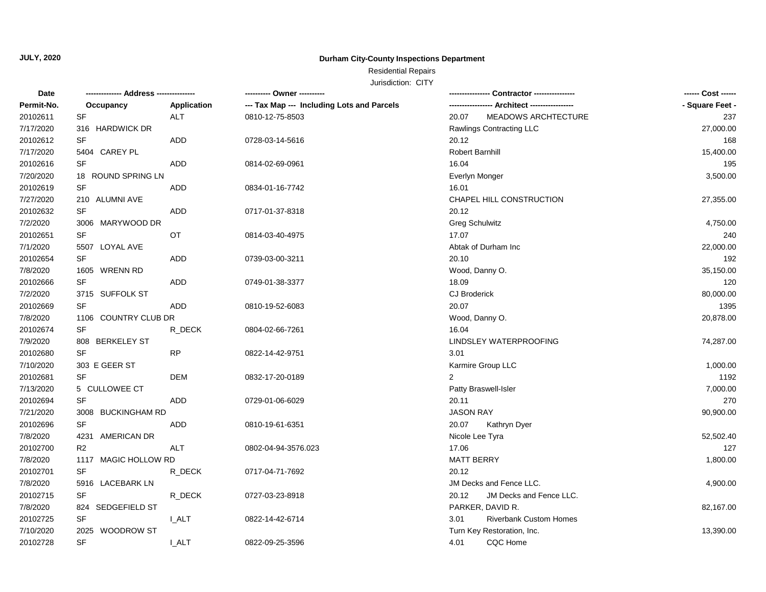## **Durham City-County Inspections Department**

# Residential Repairs

| Date       | ------------- Address -------------- |             | --------- Owner ----------                 |                                       | ------ Cost ------ |
|------------|--------------------------------------|-------------|--------------------------------------------|---------------------------------------|--------------------|
| Permit-No. | Occupancy                            | Application | --- Tax Map --- Including Lots and Parcels |                                       | - Square Feet -    |
| 20102611   | SF                                   | ALT         | 0810-12-75-8503                            | 20.07<br>MEADOWS ARCHTECTURE          | 237                |
| 7/17/2020  | 316 HARDWICK DR                      |             |                                            | Rawlings Contracting LLC              | 27,000.00          |
| 20102612   | SF                                   | ADD         | 0728-03-14-5616                            | 20.12                                 | 168                |
| 7/17/2020  | 5404 CAREY PL                        |             |                                            | <b>Robert Barnhill</b>                | 15,400.00          |
| 20102616   | <b>SF</b>                            | <b>ADD</b>  | 0814-02-69-0961                            | 16.04                                 | 195                |
| 7/20/2020  | 18 ROUND SPRING LN                   |             |                                            | Everlyn Monger                        | 3,500.00           |
| 20102619   | SF                                   | ADD         | 0834-01-16-7742                            | 16.01                                 |                    |
| 7/27/2020  | 210 ALUMNI AVE                       |             |                                            | CHAPEL HILL CONSTRUCTION              | 27,355.00          |
| 20102632   | SF                                   | ADD         | 0717-01-37-8318                            | 20.12                                 |                    |
| 7/2/2020   | 3006 MARYWOOD DR                     |             |                                            | <b>Greg Schulwitz</b>                 | 4,750.00           |
| 20102651   | SF                                   | OT          | 0814-03-40-4975                            | 17.07                                 | 240                |
| 7/1/2020   | 5507 LOYAL AVE                       |             |                                            | Abtak of Durham Inc                   | 22,000.00          |
| 20102654   | SF                                   | <b>ADD</b>  | 0739-03-00-3211                            | 20.10                                 | 192                |
| 7/8/2020   | 1605 WRENN RD                        |             |                                            | Wood, Danny O.                        | 35,150.00          |
| 20102666   | SF                                   | <b>ADD</b>  | 0749-01-38-3377                            | 18.09                                 | 120                |
| 7/2/2020   | 3715 SUFFOLK ST                      |             |                                            | <b>CJ Broderick</b>                   | 80,000.00          |
| 20102669   | SF                                   | ADD         | 0810-19-52-6083                            | 20.07                                 | 1395               |
| 7/8/2020   | 1106 COUNTRY CLUB DR                 |             |                                            | Wood, Danny O.                        | 20,878.00          |
| 20102674   | <b>SF</b>                            | R DECK      | 0804-02-66-7261                            | 16.04                                 |                    |
| 7/9/2020   | 808 BERKELEY ST                      |             |                                            | LINDSLEY WATERPROOFING                | 74,287.00          |
| 20102680   | <b>SF</b>                            | <b>RP</b>   | 0822-14-42-9751                            | 3.01                                  |                    |
| 7/10/2020  | 303 E GEER ST                        |             |                                            | Karmire Group LLC                     | 1,000.00           |
| 20102681   | SF                                   | <b>DEM</b>  | 0832-17-20-0189                            | $\overline{2}$                        | 1192               |
| 7/13/2020  | 5 CULLOWEE CT                        |             |                                            | Patty Braswell-Isler                  | 7,000.00           |
| 20102694   | SF                                   | ADD         | 0729-01-06-6029                            | 20.11                                 | 270                |
| 7/21/2020  | 3008 BUCKINGHAM RD                   |             |                                            | <b>JASON RAY</b>                      | 90,900.00          |
| 20102696   | SF                                   | <b>ADD</b>  | 0810-19-61-6351                            | 20.07<br>Kathryn Dyer                 |                    |
| 7/8/2020   | 4231 AMERICAN DR                     |             |                                            | Nicole Lee Tyra                       | 52,502.40          |
| 20102700   | R <sub>2</sub>                       | <b>ALT</b>  | 0802-04-94-3576.023                        | 17.06                                 | 127                |
| 7/8/2020   | 1117 MAGIC HOLLOW RD                 |             |                                            | <b>MATT BERRY</b>                     | 1,800.00           |
| 20102701   | SF                                   | R_DECK      | 0717-04-71-7692                            | 20.12                                 |                    |
| 7/8/2020   | 5916 LACEBARK LN                     |             |                                            | JM Decks and Fence LLC.               | 4,900.00           |
| 20102715   | SF                                   | R_DECK      | 0727-03-23-8918                            | JM Decks and Fence LLC.<br>20.12      |                    |
| 7/8/2020   | 824 SEDGEFIELD ST                    |             |                                            | PARKER, DAVID R.                      | 82,167.00          |
| 20102725   | SF                                   | I_ALT       | 0822-14-42-6714                            | 3.01<br><b>Riverbank Custom Homes</b> |                    |
| 7/10/2020  | 2025 WOODROW ST                      |             |                                            | Turn Key Restoration, Inc.            | 13,390.00          |
| 20102728   | <b>SF</b>                            | I ALT       | 0822-09-25-3596                            | CQC Home<br>4.01                      |                    |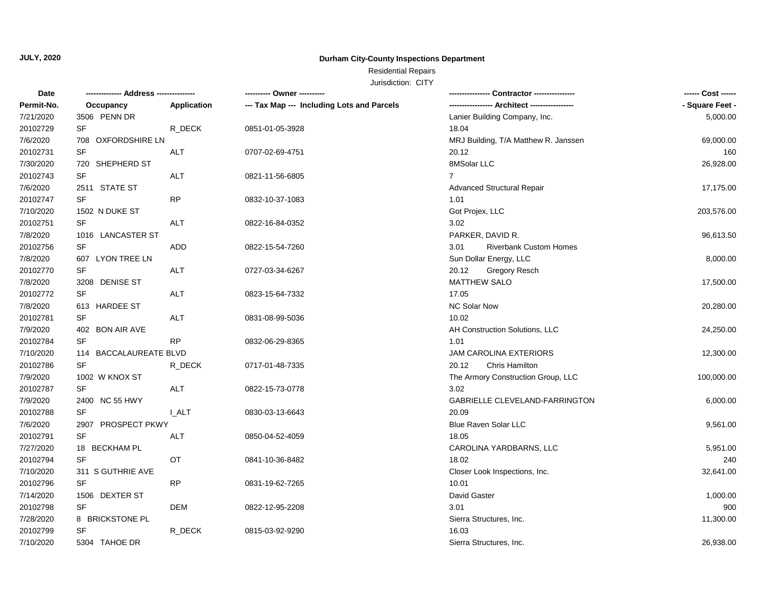## **Durham City-County Inspections Department**

# Residential Repairs

| Permit-No.<br>Occupancy<br>Application<br>--- Tax Map --- Including Lots and Parcels<br>7/21/2020<br>3506 PENN DR<br>Lanier Building Company, Inc.<br>20102729<br>SF<br>R_DECK<br>0851-01-05-3928<br>18.04<br>7/6/2020<br>708 OXFORDSHIRE LN<br>MRJ Building, T/A Matthew R. Janssen<br>20102731<br><b>SF</b><br>20.12<br><b>ALT</b><br>0707-02-69-4751<br>8MSolar LLC<br>7/30/2020<br>720 SHEPHERD ST<br><b>SF</b><br>20102743<br><b>ALT</b><br>$\overline{7}$<br>0821-11-56-6805<br>7/6/2020<br>2511 STATE ST<br><b>Advanced Structural Repair</b><br><b>SF</b><br>20102747<br><b>RP</b><br>0832-10-37-1083<br>1.01<br>7/10/2020<br>1502 N DUKE ST<br>Got Projex, LLC<br>20102751<br>SF<br>ALT<br>3.02<br>0822-16-84-0352<br>7/8/2020<br>PARKER, DAVID R.<br>1016 LANCASTER ST<br>20102756<br><b>SF</b><br>ADD<br>0822-15-54-7260<br>3.01<br><b>Riverbank Custom Homes</b><br>7/8/2020<br>607 LYON TREE LN<br>Sun Dollar Energy, LLC<br><b>SF</b><br>20102770<br><b>ALT</b><br>20.12<br><b>Gregory Resch</b><br>0727-03-34-6267<br>MATTHEW SALO<br>7/8/2020<br>3208 DENISE ST<br>20102772<br><b>SF</b><br><b>ALT</b><br>17.05<br>0823-15-64-7332<br><b>NC Solar Now</b><br>7/8/2020<br>613 HARDEE ST<br>20102781<br><b>SF</b><br><b>ALT</b><br>10.02<br>0831-08-99-5036<br>7/9/2020<br>402 BON AIR AVE<br>AH Construction Solutions, LLC<br>24,250.00<br>20102784<br><b>SF</b><br><b>RP</b><br>1.01<br>0832-06-29-8365<br>7/10/2020<br>114 BACCALAUREATE BLVD<br><b>JAM CAROLINA EXTERIORS</b><br>20102786<br><b>SF</b><br>R_DECK<br>20.12<br>Chris Hamilton<br>0717-01-48-7335<br>7/9/2020<br>1002 W KNOX ST<br>The Armory Construction Group, LLC<br><b>SF</b><br>ALT<br>3.02<br>20102787<br>0822-15-73-0778<br>7/9/2020<br>2400 NC 55 HWY<br>GABRIELLE CLEVELAND-FARRINGTON<br><b>SF</b><br>20.09<br>20102788<br><b>I_ALT</b><br>0830-03-13-6643<br>7/6/2020<br>2907 PROSPECT PKWY<br><b>Blue Raven Solar LLC</b><br>9,561.00<br>20102791<br><b>SF</b><br>ALT<br>0850-04-52-4059<br>18.05<br>7/27/2020<br>5,951.00<br>18 BECKHAM PL<br>CAROLINA YARDBARNS, LLC<br>20102794<br><b>SF</b><br>OT<br>18.02<br>0841-10-36-8482<br>7/10/2020<br>32,641.00<br>311 S GUTHRIE AVE<br>Closer Look Inspections, Inc.<br>SF<br>20102796<br>RP<br>10.01<br>0831-19-62-7265<br>David Gaster<br>7/14/2020<br>1506 DEXTER ST<br>1,000.00<br><b>SF</b><br>20102798<br>DEM<br>3.01<br>0822-12-95-2208<br>7/28/2020<br>8 BRICKSTONE PL<br>Sierra Structures, Inc.<br>11,300.00<br>SF<br>16.03<br>20102799<br>R_DECK<br>0815-03-92-9290<br>7/10/2020<br>5304 TAHOE DR<br>Sierra Structures, Inc. | Date |  | ---------- Owner ---------- | ------ Cost ------ |
|-----------------------------------------------------------------------------------------------------------------------------------------------------------------------------------------------------------------------------------------------------------------------------------------------------------------------------------------------------------------------------------------------------------------------------------------------------------------------------------------------------------------------------------------------------------------------------------------------------------------------------------------------------------------------------------------------------------------------------------------------------------------------------------------------------------------------------------------------------------------------------------------------------------------------------------------------------------------------------------------------------------------------------------------------------------------------------------------------------------------------------------------------------------------------------------------------------------------------------------------------------------------------------------------------------------------------------------------------------------------------------------------------------------------------------------------------------------------------------------------------------------------------------------------------------------------------------------------------------------------------------------------------------------------------------------------------------------------------------------------------------------------------------------------------------------------------------------------------------------------------------------------------------------------------------------------------------------------------------------------------------------------------------------------------------------------------------------------------------------------------------------------------------------------------------------------------------------------------------------------------------------------------------------------------------------------------------------------------------------------------------------------------------------------------------------------------------------------------------------------------------------------------------------------------------------------------------------|------|--|-----------------------------|--------------------|
|                                                                                                                                                                                                                                                                                                                                                                                                                                                                                                                                                                                                                                                                                                                                                                                                                                                                                                                                                                                                                                                                                                                                                                                                                                                                                                                                                                                                                                                                                                                                                                                                                                                                                                                                                                                                                                                                                                                                                                                                                                                                                                                                                                                                                                                                                                                                                                                                                                                                                                                                                                                   |      |  |                             | - Square Feet -    |
|                                                                                                                                                                                                                                                                                                                                                                                                                                                                                                                                                                                                                                                                                                                                                                                                                                                                                                                                                                                                                                                                                                                                                                                                                                                                                                                                                                                                                                                                                                                                                                                                                                                                                                                                                                                                                                                                                                                                                                                                                                                                                                                                                                                                                                                                                                                                                                                                                                                                                                                                                                                   |      |  |                             | 5,000.00           |
|                                                                                                                                                                                                                                                                                                                                                                                                                                                                                                                                                                                                                                                                                                                                                                                                                                                                                                                                                                                                                                                                                                                                                                                                                                                                                                                                                                                                                                                                                                                                                                                                                                                                                                                                                                                                                                                                                                                                                                                                                                                                                                                                                                                                                                                                                                                                                                                                                                                                                                                                                                                   |      |  |                             |                    |
|                                                                                                                                                                                                                                                                                                                                                                                                                                                                                                                                                                                                                                                                                                                                                                                                                                                                                                                                                                                                                                                                                                                                                                                                                                                                                                                                                                                                                                                                                                                                                                                                                                                                                                                                                                                                                                                                                                                                                                                                                                                                                                                                                                                                                                                                                                                                                                                                                                                                                                                                                                                   |      |  |                             | 69,000.00          |
|                                                                                                                                                                                                                                                                                                                                                                                                                                                                                                                                                                                                                                                                                                                                                                                                                                                                                                                                                                                                                                                                                                                                                                                                                                                                                                                                                                                                                                                                                                                                                                                                                                                                                                                                                                                                                                                                                                                                                                                                                                                                                                                                                                                                                                                                                                                                                                                                                                                                                                                                                                                   |      |  |                             | 160                |
|                                                                                                                                                                                                                                                                                                                                                                                                                                                                                                                                                                                                                                                                                                                                                                                                                                                                                                                                                                                                                                                                                                                                                                                                                                                                                                                                                                                                                                                                                                                                                                                                                                                                                                                                                                                                                                                                                                                                                                                                                                                                                                                                                                                                                                                                                                                                                                                                                                                                                                                                                                                   |      |  |                             | 26,928.00          |
|                                                                                                                                                                                                                                                                                                                                                                                                                                                                                                                                                                                                                                                                                                                                                                                                                                                                                                                                                                                                                                                                                                                                                                                                                                                                                                                                                                                                                                                                                                                                                                                                                                                                                                                                                                                                                                                                                                                                                                                                                                                                                                                                                                                                                                                                                                                                                                                                                                                                                                                                                                                   |      |  |                             |                    |
|                                                                                                                                                                                                                                                                                                                                                                                                                                                                                                                                                                                                                                                                                                                                                                                                                                                                                                                                                                                                                                                                                                                                                                                                                                                                                                                                                                                                                                                                                                                                                                                                                                                                                                                                                                                                                                                                                                                                                                                                                                                                                                                                                                                                                                                                                                                                                                                                                                                                                                                                                                                   |      |  |                             | 17,175.00          |
|                                                                                                                                                                                                                                                                                                                                                                                                                                                                                                                                                                                                                                                                                                                                                                                                                                                                                                                                                                                                                                                                                                                                                                                                                                                                                                                                                                                                                                                                                                                                                                                                                                                                                                                                                                                                                                                                                                                                                                                                                                                                                                                                                                                                                                                                                                                                                                                                                                                                                                                                                                                   |      |  |                             |                    |
|                                                                                                                                                                                                                                                                                                                                                                                                                                                                                                                                                                                                                                                                                                                                                                                                                                                                                                                                                                                                                                                                                                                                                                                                                                                                                                                                                                                                                                                                                                                                                                                                                                                                                                                                                                                                                                                                                                                                                                                                                                                                                                                                                                                                                                                                                                                                                                                                                                                                                                                                                                                   |      |  |                             | 203,576.00         |
|                                                                                                                                                                                                                                                                                                                                                                                                                                                                                                                                                                                                                                                                                                                                                                                                                                                                                                                                                                                                                                                                                                                                                                                                                                                                                                                                                                                                                                                                                                                                                                                                                                                                                                                                                                                                                                                                                                                                                                                                                                                                                                                                                                                                                                                                                                                                                                                                                                                                                                                                                                                   |      |  |                             |                    |
|                                                                                                                                                                                                                                                                                                                                                                                                                                                                                                                                                                                                                                                                                                                                                                                                                                                                                                                                                                                                                                                                                                                                                                                                                                                                                                                                                                                                                                                                                                                                                                                                                                                                                                                                                                                                                                                                                                                                                                                                                                                                                                                                                                                                                                                                                                                                                                                                                                                                                                                                                                                   |      |  |                             | 96,613.50          |
|                                                                                                                                                                                                                                                                                                                                                                                                                                                                                                                                                                                                                                                                                                                                                                                                                                                                                                                                                                                                                                                                                                                                                                                                                                                                                                                                                                                                                                                                                                                                                                                                                                                                                                                                                                                                                                                                                                                                                                                                                                                                                                                                                                                                                                                                                                                                                                                                                                                                                                                                                                                   |      |  |                             |                    |
|                                                                                                                                                                                                                                                                                                                                                                                                                                                                                                                                                                                                                                                                                                                                                                                                                                                                                                                                                                                                                                                                                                                                                                                                                                                                                                                                                                                                                                                                                                                                                                                                                                                                                                                                                                                                                                                                                                                                                                                                                                                                                                                                                                                                                                                                                                                                                                                                                                                                                                                                                                                   |      |  |                             | 8,000.00           |
|                                                                                                                                                                                                                                                                                                                                                                                                                                                                                                                                                                                                                                                                                                                                                                                                                                                                                                                                                                                                                                                                                                                                                                                                                                                                                                                                                                                                                                                                                                                                                                                                                                                                                                                                                                                                                                                                                                                                                                                                                                                                                                                                                                                                                                                                                                                                                                                                                                                                                                                                                                                   |      |  |                             |                    |
|                                                                                                                                                                                                                                                                                                                                                                                                                                                                                                                                                                                                                                                                                                                                                                                                                                                                                                                                                                                                                                                                                                                                                                                                                                                                                                                                                                                                                                                                                                                                                                                                                                                                                                                                                                                                                                                                                                                                                                                                                                                                                                                                                                                                                                                                                                                                                                                                                                                                                                                                                                                   |      |  |                             | 17,500.00          |
|                                                                                                                                                                                                                                                                                                                                                                                                                                                                                                                                                                                                                                                                                                                                                                                                                                                                                                                                                                                                                                                                                                                                                                                                                                                                                                                                                                                                                                                                                                                                                                                                                                                                                                                                                                                                                                                                                                                                                                                                                                                                                                                                                                                                                                                                                                                                                                                                                                                                                                                                                                                   |      |  |                             |                    |
|                                                                                                                                                                                                                                                                                                                                                                                                                                                                                                                                                                                                                                                                                                                                                                                                                                                                                                                                                                                                                                                                                                                                                                                                                                                                                                                                                                                                                                                                                                                                                                                                                                                                                                                                                                                                                                                                                                                                                                                                                                                                                                                                                                                                                                                                                                                                                                                                                                                                                                                                                                                   |      |  |                             | 20,280.00          |
|                                                                                                                                                                                                                                                                                                                                                                                                                                                                                                                                                                                                                                                                                                                                                                                                                                                                                                                                                                                                                                                                                                                                                                                                                                                                                                                                                                                                                                                                                                                                                                                                                                                                                                                                                                                                                                                                                                                                                                                                                                                                                                                                                                                                                                                                                                                                                                                                                                                                                                                                                                                   |      |  |                             |                    |
|                                                                                                                                                                                                                                                                                                                                                                                                                                                                                                                                                                                                                                                                                                                                                                                                                                                                                                                                                                                                                                                                                                                                                                                                                                                                                                                                                                                                                                                                                                                                                                                                                                                                                                                                                                                                                                                                                                                                                                                                                                                                                                                                                                                                                                                                                                                                                                                                                                                                                                                                                                                   |      |  |                             |                    |
|                                                                                                                                                                                                                                                                                                                                                                                                                                                                                                                                                                                                                                                                                                                                                                                                                                                                                                                                                                                                                                                                                                                                                                                                                                                                                                                                                                                                                                                                                                                                                                                                                                                                                                                                                                                                                                                                                                                                                                                                                                                                                                                                                                                                                                                                                                                                                                                                                                                                                                                                                                                   |      |  |                             |                    |
|                                                                                                                                                                                                                                                                                                                                                                                                                                                                                                                                                                                                                                                                                                                                                                                                                                                                                                                                                                                                                                                                                                                                                                                                                                                                                                                                                                                                                                                                                                                                                                                                                                                                                                                                                                                                                                                                                                                                                                                                                                                                                                                                                                                                                                                                                                                                                                                                                                                                                                                                                                                   |      |  |                             | 12,300.00          |
|                                                                                                                                                                                                                                                                                                                                                                                                                                                                                                                                                                                                                                                                                                                                                                                                                                                                                                                                                                                                                                                                                                                                                                                                                                                                                                                                                                                                                                                                                                                                                                                                                                                                                                                                                                                                                                                                                                                                                                                                                                                                                                                                                                                                                                                                                                                                                                                                                                                                                                                                                                                   |      |  |                             |                    |
|                                                                                                                                                                                                                                                                                                                                                                                                                                                                                                                                                                                                                                                                                                                                                                                                                                                                                                                                                                                                                                                                                                                                                                                                                                                                                                                                                                                                                                                                                                                                                                                                                                                                                                                                                                                                                                                                                                                                                                                                                                                                                                                                                                                                                                                                                                                                                                                                                                                                                                                                                                                   |      |  |                             | 100,000.00         |
|                                                                                                                                                                                                                                                                                                                                                                                                                                                                                                                                                                                                                                                                                                                                                                                                                                                                                                                                                                                                                                                                                                                                                                                                                                                                                                                                                                                                                                                                                                                                                                                                                                                                                                                                                                                                                                                                                                                                                                                                                                                                                                                                                                                                                                                                                                                                                                                                                                                                                                                                                                                   |      |  |                             |                    |
|                                                                                                                                                                                                                                                                                                                                                                                                                                                                                                                                                                                                                                                                                                                                                                                                                                                                                                                                                                                                                                                                                                                                                                                                                                                                                                                                                                                                                                                                                                                                                                                                                                                                                                                                                                                                                                                                                                                                                                                                                                                                                                                                                                                                                                                                                                                                                                                                                                                                                                                                                                                   |      |  |                             | 6,000.00           |
|                                                                                                                                                                                                                                                                                                                                                                                                                                                                                                                                                                                                                                                                                                                                                                                                                                                                                                                                                                                                                                                                                                                                                                                                                                                                                                                                                                                                                                                                                                                                                                                                                                                                                                                                                                                                                                                                                                                                                                                                                                                                                                                                                                                                                                                                                                                                                                                                                                                                                                                                                                                   |      |  |                             |                    |
|                                                                                                                                                                                                                                                                                                                                                                                                                                                                                                                                                                                                                                                                                                                                                                                                                                                                                                                                                                                                                                                                                                                                                                                                                                                                                                                                                                                                                                                                                                                                                                                                                                                                                                                                                                                                                                                                                                                                                                                                                                                                                                                                                                                                                                                                                                                                                                                                                                                                                                                                                                                   |      |  |                             |                    |
|                                                                                                                                                                                                                                                                                                                                                                                                                                                                                                                                                                                                                                                                                                                                                                                                                                                                                                                                                                                                                                                                                                                                                                                                                                                                                                                                                                                                                                                                                                                                                                                                                                                                                                                                                                                                                                                                                                                                                                                                                                                                                                                                                                                                                                                                                                                                                                                                                                                                                                                                                                                   |      |  |                             |                    |
|                                                                                                                                                                                                                                                                                                                                                                                                                                                                                                                                                                                                                                                                                                                                                                                                                                                                                                                                                                                                                                                                                                                                                                                                                                                                                                                                                                                                                                                                                                                                                                                                                                                                                                                                                                                                                                                                                                                                                                                                                                                                                                                                                                                                                                                                                                                                                                                                                                                                                                                                                                                   |      |  |                             |                    |
|                                                                                                                                                                                                                                                                                                                                                                                                                                                                                                                                                                                                                                                                                                                                                                                                                                                                                                                                                                                                                                                                                                                                                                                                                                                                                                                                                                                                                                                                                                                                                                                                                                                                                                                                                                                                                                                                                                                                                                                                                                                                                                                                                                                                                                                                                                                                                                                                                                                                                                                                                                                   |      |  |                             | 240                |
|                                                                                                                                                                                                                                                                                                                                                                                                                                                                                                                                                                                                                                                                                                                                                                                                                                                                                                                                                                                                                                                                                                                                                                                                                                                                                                                                                                                                                                                                                                                                                                                                                                                                                                                                                                                                                                                                                                                                                                                                                                                                                                                                                                                                                                                                                                                                                                                                                                                                                                                                                                                   |      |  |                             |                    |
|                                                                                                                                                                                                                                                                                                                                                                                                                                                                                                                                                                                                                                                                                                                                                                                                                                                                                                                                                                                                                                                                                                                                                                                                                                                                                                                                                                                                                                                                                                                                                                                                                                                                                                                                                                                                                                                                                                                                                                                                                                                                                                                                                                                                                                                                                                                                                                                                                                                                                                                                                                                   |      |  |                             |                    |
|                                                                                                                                                                                                                                                                                                                                                                                                                                                                                                                                                                                                                                                                                                                                                                                                                                                                                                                                                                                                                                                                                                                                                                                                                                                                                                                                                                                                                                                                                                                                                                                                                                                                                                                                                                                                                                                                                                                                                                                                                                                                                                                                                                                                                                                                                                                                                                                                                                                                                                                                                                                   |      |  |                             |                    |
|                                                                                                                                                                                                                                                                                                                                                                                                                                                                                                                                                                                                                                                                                                                                                                                                                                                                                                                                                                                                                                                                                                                                                                                                                                                                                                                                                                                                                                                                                                                                                                                                                                                                                                                                                                                                                                                                                                                                                                                                                                                                                                                                                                                                                                                                                                                                                                                                                                                                                                                                                                                   |      |  |                             | 900                |
|                                                                                                                                                                                                                                                                                                                                                                                                                                                                                                                                                                                                                                                                                                                                                                                                                                                                                                                                                                                                                                                                                                                                                                                                                                                                                                                                                                                                                                                                                                                                                                                                                                                                                                                                                                                                                                                                                                                                                                                                                                                                                                                                                                                                                                                                                                                                                                                                                                                                                                                                                                                   |      |  |                             |                    |
|                                                                                                                                                                                                                                                                                                                                                                                                                                                                                                                                                                                                                                                                                                                                                                                                                                                                                                                                                                                                                                                                                                                                                                                                                                                                                                                                                                                                                                                                                                                                                                                                                                                                                                                                                                                                                                                                                                                                                                                                                                                                                                                                                                                                                                                                                                                                                                                                                                                                                                                                                                                   |      |  |                             |                    |
|                                                                                                                                                                                                                                                                                                                                                                                                                                                                                                                                                                                                                                                                                                                                                                                                                                                                                                                                                                                                                                                                                                                                                                                                                                                                                                                                                                                                                                                                                                                                                                                                                                                                                                                                                                                                                                                                                                                                                                                                                                                                                                                                                                                                                                                                                                                                                                                                                                                                                                                                                                                   |      |  |                             | 26,938.00          |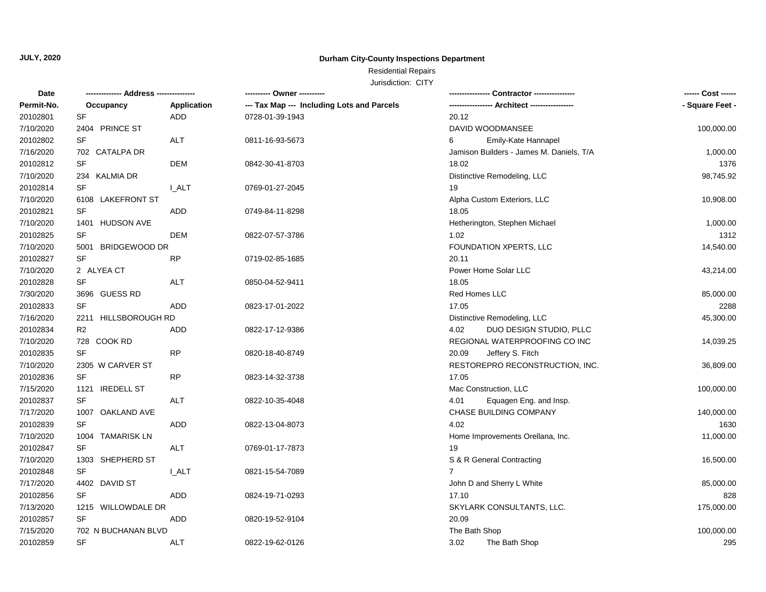## **Durham City-County Inspections Department**

## Residential Repairs

| Date       |                      |                    | ---------- Owner ----------                |                                          | ------ Cost ------ |
|------------|----------------------|--------------------|--------------------------------------------|------------------------------------------|--------------------|
| Permit-No. | Occupancy            | <b>Application</b> | --- Tax Map --- Including Lots and Parcels |                                          | - Square Feet -    |
| 20102801   | SF                   | ADD                | 0728-01-39-1943                            | 20.12                                    |                    |
| 7/10/2020  | 2404 PRINCE ST       |                    |                                            | DAVID WOODMANSEE                         | 100,000.00         |
| 20102802   | <b>SF</b>            | <b>ALT</b>         | 0811-16-93-5673                            | 6<br>Emily-Kate Hannapel                 |                    |
| 7/16/2020  | 702 CATALPA DR       |                    |                                            | Jamison Builders - James M. Daniels, T/A | 1,000.00           |
| 20102812   | SF                   | <b>DEM</b>         | 0842-30-41-8703                            | 18.02                                    | 1376               |
| 7/10/2020  | 234 KALMIA DR        |                    |                                            | Distinctive Remodeling, LLC              | 98,745.92          |
| 20102814   | <b>SF</b>            | <b>LALT</b>        | 0769-01-27-2045                            | 19                                       |                    |
| 7/10/2020  | 6108 LAKEFRONT ST    |                    |                                            | Alpha Custom Exteriors, LLC              | 10,908.00          |
| 20102821   | SF                   | ADD                | 0749-84-11-8298                            | 18.05                                    |                    |
| 7/10/2020  | 1401 HUDSON AVE      |                    |                                            | Hetherington, Stephen Michael            | 1,000.00           |
| 20102825   | SF                   | <b>DEM</b>         | 0822-07-57-3786                            | 1.02                                     | 1312               |
| 7/10/2020  | 5001 BRIDGEWOOD DR   |                    |                                            | FOUNDATION XPERTS, LLC                   | 14,540.00          |
| 20102827   | SF                   | <b>RP</b>          | 0719-02-85-1685                            | 20.11                                    |                    |
| 7/10/2020  | 2 ALYEA CT           |                    |                                            | Power Home Solar LLC                     | 43,214.00          |
| 20102828   | <b>SF</b>            | <b>ALT</b>         | 0850-04-52-9411                            | 18.05                                    |                    |
| 7/30/2020  | 3696 GUESS RD        |                    |                                            | Red Homes LLC                            | 85,000.00          |
| 20102833   | <b>SF</b>            | <b>ADD</b>         | 0823-17-01-2022                            | 17.05                                    | 2288               |
| 7/16/2020  | 2211 HILLSBOROUGH RD |                    |                                            | Distinctive Remodeling, LLC              | 45,300.00          |
| 20102834   | R <sub>2</sub>       | <b>ADD</b>         | 0822-17-12-9386                            | DUO DESIGN STUDIO, PLLC<br>4.02          |                    |
| 7/10/2020  | 728 COOK RD          |                    |                                            | REGIONAL WATERPROOFING CO INC            | 14,039.25          |
| 20102835   | <b>SF</b>            | <b>RP</b>          | 0820-18-40-8749                            | 20.09<br>Jeffery S. Fitch                |                    |
| 7/10/2020  | 2305 W CARVER ST     |                    |                                            | RESTOREPRO RECONSTRUCTION, INC.          | 36,809.00          |
| 20102836   | <b>SF</b>            | <b>RP</b>          | 0823-14-32-3738                            | 17.05                                    |                    |
| 7/15/2020  | 1121 IREDELL ST      |                    |                                            | Mac Construction, LLC                    | 100,000.00         |
| 20102837   | <b>SF</b>            | <b>ALT</b>         | 0822-10-35-4048                            | Equagen Eng. and Insp.<br>4.01           |                    |
| 7/17/2020  | 1007 OAKLAND AVE     |                    |                                            | CHASE BUILDING COMPANY                   | 140,000.00         |
| 20102839   | SF                   | ADD                | 0822-13-04-8073                            | 4.02                                     | 1630               |
| 7/10/2020  | 1004 TAMARISK LN     |                    |                                            | Home Improvements Orellana, Inc.         | 11,000.00          |
| 20102847   | SF                   | ALT                | 0769-01-17-7873                            | 19                                       |                    |
| 7/10/2020  | 1303 SHEPHERD ST     |                    |                                            | S & R General Contracting                | 16,500.00          |
| 20102848   | SF                   | <b>I_ALT</b>       | 0821-15-54-7089                            | $\overline{7}$                           |                    |
| 7/17/2020  | 4402 DAVID ST        |                    |                                            | John D and Sherry L White                | 85,000.00          |
| 20102856   | <b>SF</b>            | <b>ADD</b>         | 0824-19-71-0293                            | 17.10                                    | 828                |
| 7/13/2020  | 1215 WILLOWDALE DR   |                    |                                            | SKYLARK CONSULTANTS, LLC.                | 175,000.00         |
| 20102857   | <b>SF</b>            | <b>ADD</b>         | 0820-19-52-9104                            | 20.09                                    |                    |
| 7/15/2020  | 702 N BUCHANAN BLVD  |                    |                                            | The Bath Shop                            | 100,000.00         |
| 20102859   | <b>SF</b>            | <b>ALT</b>         | 0822-19-62-0126                            | 3.02<br>The Bath Shop                    | 295                |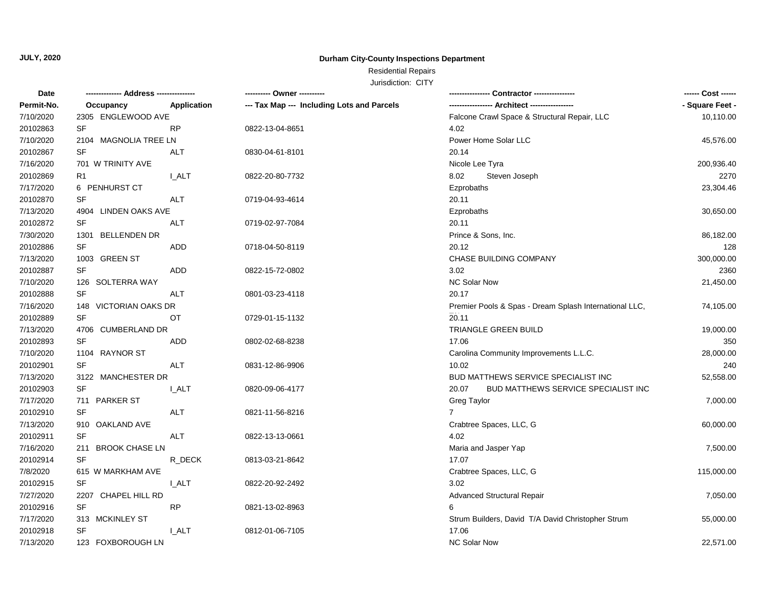## **Durham City-County Inspections Department**

# Residential Repairs

| Permit-No.<br><b>Application</b><br>--- Tax Map --- Including Lots and Parcels<br>Occupancy<br>7/10/2020<br>2305 ENGLEWOOD AVE<br>Falcone Crawl Space & Structural Repair, LLC<br>SF<br>20102863<br><b>RP</b><br>4.02<br>0822-13-04-8651<br>7/10/2020<br>2104 MAGNOLIA TREE LN<br>Power Home Solar LLC<br>20102867<br><b>SF</b><br><b>ALT</b><br>0830-04-61-8101<br>20.14<br>7/16/2020<br>701 W TRINITY AVE<br>Nicole Lee Tyra<br>20102869<br><b>I_ALT</b><br>8.02<br>0822-20-80-7732<br>Steven Joseph<br>R1<br>7/17/2020<br>6 PENHURST CT<br>Ezprobaths<br>20102870<br>SF<br>ALT<br>0719-04-93-4614<br>20.11<br>7/13/2020<br>4904 LINDEN OAKS AVE<br>Ezprobaths<br>SF<br>20102872<br><b>ALT</b><br>20.11<br>0719-02-97-7084<br>7/30/2020<br>1301 BELLENDEN DR<br>Prince & Sons, Inc.<br>20102886<br><b>SF</b><br><b>ADD</b><br>20.12<br>0718-04-50-8119<br>7/13/2020<br>1003 GREEN ST<br>CHASE BUILDING COMPANY | ------ Cost ------ |
|------------------------------------------------------------------------------------------------------------------------------------------------------------------------------------------------------------------------------------------------------------------------------------------------------------------------------------------------------------------------------------------------------------------------------------------------------------------------------------------------------------------------------------------------------------------------------------------------------------------------------------------------------------------------------------------------------------------------------------------------------------------------------------------------------------------------------------------------------------------------------------------------------------------|--------------------|
|                                                                                                                                                                                                                                                                                                                                                                                                                                                                                                                                                                                                                                                                                                                                                                                                                                                                                                                  | - Square Feet -    |
|                                                                                                                                                                                                                                                                                                                                                                                                                                                                                                                                                                                                                                                                                                                                                                                                                                                                                                                  | 10,110.00          |
|                                                                                                                                                                                                                                                                                                                                                                                                                                                                                                                                                                                                                                                                                                                                                                                                                                                                                                                  |                    |
|                                                                                                                                                                                                                                                                                                                                                                                                                                                                                                                                                                                                                                                                                                                                                                                                                                                                                                                  | 45,576.00          |
|                                                                                                                                                                                                                                                                                                                                                                                                                                                                                                                                                                                                                                                                                                                                                                                                                                                                                                                  |                    |
|                                                                                                                                                                                                                                                                                                                                                                                                                                                                                                                                                                                                                                                                                                                                                                                                                                                                                                                  | 200,936.40         |
|                                                                                                                                                                                                                                                                                                                                                                                                                                                                                                                                                                                                                                                                                                                                                                                                                                                                                                                  | 2270               |
|                                                                                                                                                                                                                                                                                                                                                                                                                                                                                                                                                                                                                                                                                                                                                                                                                                                                                                                  | 23,304.46          |
|                                                                                                                                                                                                                                                                                                                                                                                                                                                                                                                                                                                                                                                                                                                                                                                                                                                                                                                  |                    |
|                                                                                                                                                                                                                                                                                                                                                                                                                                                                                                                                                                                                                                                                                                                                                                                                                                                                                                                  | 30,650.00          |
|                                                                                                                                                                                                                                                                                                                                                                                                                                                                                                                                                                                                                                                                                                                                                                                                                                                                                                                  |                    |
|                                                                                                                                                                                                                                                                                                                                                                                                                                                                                                                                                                                                                                                                                                                                                                                                                                                                                                                  | 86,182.00          |
|                                                                                                                                                                                                                                                                                                                                                                                                                                                                                                                                                                                                                                                                                                                                                                                                                                                                                                                  | 128                |
|                                                                                                                                                                                                                                                                                                                                                                                                                                                                                                                                                                                                                                                                                                                                                                                                                                                                                                                  | 300,000.00         |
| 20102887<br><b>SF</b><br><b>ADD</b><br>3.02<br>0822-15-72-0802                                                                                                                                                                                                                                                                                                                                                                                                                                                                                                                                                                                                                                                                                                                                                                                                                                                   | 2360               |
| 7/10/2020<br>NC Solar Now<br>126 SOLTERRA WAY                                                                                                                                                                                                                                                                                                                                                                                                                                                                                                                                                                                                                                                                                                                                                                                                                                                                    | 21,450.00          |
| 20102888<br>SF<br>20.17<br><b>ALT</b><br>0801-03-23-4118                                                                                                                                                                                                                                                                                                                                                                                                                                                                                                                                                                                                                                                                                                                                                                                                                                                         |                    |
| 7/16/2020<br>148 VICTORIAN OAKS DR<br>Premier Pools & Spas - Dream Splash International LLC,                                                                                                                                                                                                                                                                                                                                                                                                                                                                                                                                                                                                                                                                                                                                                                                                                     | 74,105.00          |
| 20102889<br><b>SF</b><br>OT<br>20.11<br>0729-01-15-1132                                                                                                                                                                                                                                                                                                                                                                                                                                                                                                                                                                                                                                                                                                                                                                                                                                                          |                    |
| 7/13/2020<br>TRIANGLE GREEN BUILD<br>4706 CUMBERLAND DR                                                                                                                                                                                                                                                                                                                                                                                                                                                                                                                                                                                                                                                                                                                                                                                                                                                          | 19,000.00          |
| 20102893<br>SF<br><b>ADD</b><br>17.06<br>0802-02-68-8238                                                                                                                                                                                                                                                                                                                                                                                                                                                                                                                                                                                                                                                                                                                                                                                                                                                         | 350                |
| 7/10/2020<br>1104 RAYNOR ST<br>Carolina Community Improvements L.L.C.                                                                                                                                                                                                                                                                                                                                                                                                                                                                                                                                                                                                                                                                                                                                                                                                                                            | 28,000.00          |
| <b>SF</b><br>20102901<br>10.02<br>ALT<br>0831-12-86-9906                                                                                                                                                                                                                                                                                                                                                                                                                                                                                                                                                                                                                                                                                                                                                                                                                                                         | 240                |
| 7/13/2020<br>BUD MATTHEWS SERVICE SPECIALIST INC<br>3122 MANCHESTER DR                                                                                                                                                                                                                                                                                                                                                                                                                                                                                                                                                                                                                                                                                                                                                                                                                                           | 52,558.00          |
| SF<br>20102903<br>20.07<br><b>BUD MATTHEWS SERVICE SPECIALIST INC</b><br>I ALT<br>0820-09-06-4177                                                                                                                                                                                                                                                                                                                                                                                                                                                                                                                                                                                                                                                                                                                                                                                                                |                    |
| 7/17/2020<br>711 PARKER ST<br><b>Greg Taylor</b>                                                                                                                                                                                                                                                                                                                                                                                                                                                                                                                                                                                                                                                                                                                                                                                                                                                                 | 7,000.00           |
| SF<br>20102910<br>$\overline{7}$<br>ALT<br>0821-11-56-8216                                                                                                                                                                                                                                                                                                                                                                                                                                                                                                                                                                                                                                                                                                                                                                                                                                                       |                    |
| 7/13/2020<br>910 OAKLAND AVE<br>Crabtree Spaces, LLC, G                                                                                                                                                                                                                                                                                                                                                                                                                                                                                                                                                                                                                                                                                                                                                                                                                                                          | 60,000.00          |
| 20102911<br><b>SF</b><br>4.02<br>ALT<br>0822-13-13-0661                                                                                                                                                                                                                                                                                                                                                                                                                                                                                                                                                                                                                                                                                                                                                                                                                                                          |                    |
| 7/16/2020<br>211 BROOK CHASE LN<br>Maria and Jasper Yap                                                                                                                                                                                                                                                                                                                                                                                                                                                                                                                                                                                                                                                                                                                                                                                                                                                          | 7,500.00           |
| 20102914<br><b>SF</b><br>R DECK<br>17.07<br>0813-03-21-8642                                                                                                                                                                                                                                                                                                                                                                                                                                                                                                                                                                                                                                                                                                                                                                                                                                                      |                    |
| 7/8/2020<br>615 W MARKHAM AVE<br>Crabtree Spaces, LLC, G                                                                                                                                                                                                                                                                                                                                                                                                                                                                                                                                                                                                                                                                                                                                                                                                                                                         | 115,000.00         |
| 20102915<br>3.02<br>SF<br>I ALT<br>0822-20-92-2492                                                                                                                                                                                                                                                                                                                                                                                                                                                                                                                                                                                                                                                                                                                                                                                                                                                               |                    |
| 7/27/2020<br>2207 CHAPEL HILL RD<br><b>Advanced Structural Repair</b>                                                                                                                                                                                                                                                                                                                                                                                                                                                                                                                                                                                                                                                                                                                                                                                                                                            | 7,050.00           |
| 20102916<br>SF<br><b>RP</b><br>0821-13-02-8963<br>6                                                                                                                                                                                                                                                                                                                                                                                                                                                                                                                                                                                                                                                                                                                                                                                                                                                              |                    |
| 7/17/2020<br>313 MCKINLEY ST<br>Strum Builders, David T/A David Christopher Strum                                                                                                                                                                                                                                                                                                                                                                                                                                                                                                                                                                                                                                                                                                                                                                                                                                | 55,000.00          |
| 20102918<br>SF<br>17.06<br>I ALT<br>0812-01-06-7105                                                                                                                                                                                                                                                                                                                                                                                                                                                                                                                                                                                                                                                                                                                                                                                                                                                              |                    |
| 7/13/2020<br>123 FOXBOROUGH LN<br><b>NC Solar Now</b>                                                                                                                                                                                                                                                                                                                                                                                                                                                                                                                                                                                                                                                                                                                                                                                                                                                            | 22,571.00          |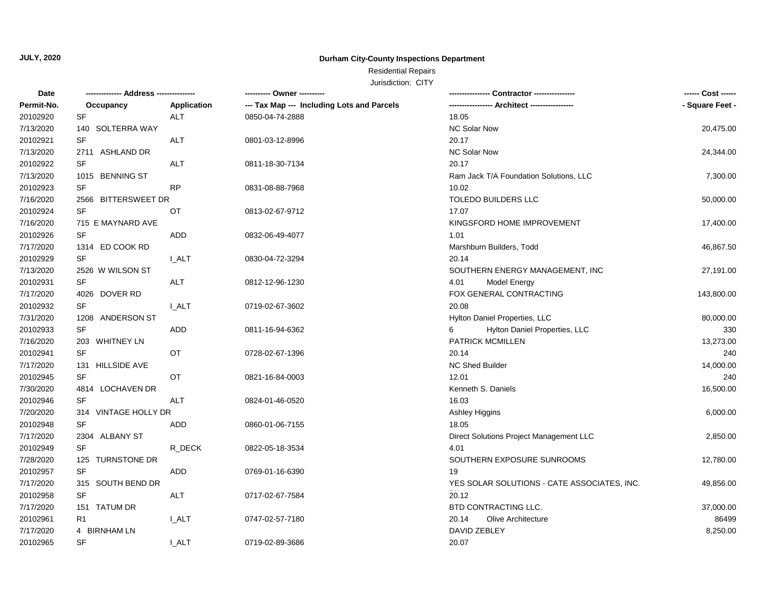## **Durham City-County Inspections Department**

## Residential Repairs

| <b>Date</b> |                                   |              |                                            |                                             | ------ Cost ------ |
|-------------|-----------------------------------|--------------|--------------------------------------------|---------------------------------------------|--------------------|
| Permit-No.  | Occupancy                         | Application  | --- Tax Map --- Including Lots and Parcels |                                             | - Square Feet -    |
| 20102920    | $\ensuremath{\mathsf{SF}}\xspace$ | ALT          | 0850-04-74-2888                            | 18.05                                       |                    |
| 7/13/2020   | 140 SOLTERRA WAY                  |              |                                            | NC Solar Now                                | 20,475.00          |
| 20102921    | $\ensuremath{\mathsf{SF}}\xspace$ | ALT          | 0801-03-12-8996                            | 20.17                                       |                    |
| 7/13/2020   | 2711 ASHLAND DR                   |              |                                            | NC Solar Now                                | 24,344.00          |
| 20102922    | SF                                | ALT          | 0811-18-30-7134                            | 20.17                                       |                    |
| 7/13/2020   | 1015 BENNING ST                   |              |                                            | Ram Jack T/A Foundation Solutions, LLC      | 7,300.00           |
| 20102923    | SF                                | <b>RP</b>    | 0831-08-88-7968                            | 10.02                                       |                    |
| 7/16/2020   | 2566 BITTERSWEET DR               |              |                                            | <b>TOLEDO BUILDERS LLC</b>                  | 50,000.00          |
| 20102924    | SF                                | ОT           | 0813-02-67-9712                            | 17.07                                       |                    |
| 7/16/2020   | 715 E MAYNARD AVE                 |              |                                            | KINGSFORD HOME IMPROVEMENT                  | 17,400.00          |
| 20102926    | SF                                | ADD          | 0832-06-49-4077                            | 1.01                                        |                    |
| 7/17/2020   | 1314 ED COOK RD                   |              |                                            | Marshburn Builders, Todd                    | 46,867.50          |
| 20102929    | SF                                | <b>I_ALT</b> | 0830-04-72-3294                            | 20.14                                       |                    |
| 7/13/2020   | 2526 W WILSON ST                  |              |                                            | SOUTHERN ENERGY MANAGEMENT, INC             | 27,191.00          |
| 20102931    | SF                                | ALT          | 0812-12-96-1230                            | 4.01<br>Model Energy                        |                    |
| 7/17/2020   | 4026 DOVER RD                     |              |                                            | FOX GENERAL CONTRACTING                     | 143,800.00         |
| 20102932    | SF                                | I ALT        | 0719-02-67-3602                            | 20.08                                       |                    |
| 7/31/2020   | 1208 ANDERSON ST                  |              |                                            | Hylton Daniel Properties, LLC               | 80,000.00          |
| 20102933    | SF                                | ADD          | 0811-16-94-6362                            | 6<br>Hylton Daniel Properties, LLC          | 330                |
| 7/16/2020   | 203 WHITNEY LN                    |              |                                            | PATRICK MCMILLEN                            | 13,273.00          |
| 20102941    | $\ensuremath{\mathsf{SF}}\xspace$ | OT           | 0728-02-67-1396                            | 20.14                                       | 240                |
| 7/17/2020   | 131 HILLSIDE AVE                  |              |                                            | NC Shed Builder                             | 14,000.00          |
| 20102945    | <b>SF</b>                         | OT           | 0821-16-84-0003                            | 12.01                                       | 240                |
| 7/30/2020   | 4814 LOCHAVEN DR                  |              |                                            | Kenneth S. Daniels                          | 16,500.00          |
| 20102946    | <b>SF</b>                         | ALT          | 0824-01-46-0520                            | 16.03                                       |                    |
| 7/20/2020   | 314 VINTAGE HOLLY DR              |              |                                            | Ashley Higgins                              | 6,000.00           |
| 20102948    | SF                                | ADD          | 0860-01-06-7155                            | 18.05                                       |                    |
| 7/17/2020   | 2304 ALBANY ST                    |              |                                            | Direct Solutions Project Management LLC     | 2,850.00           |
| 20102949    | <b>SF</b>                         | R_DECK       | 0822-05-18-3534                            | 4.01                                        |                    |
| 7/28/2020   | 125 TURNSTONE DR                  |              |                                            | SOUTHERN EXPOSURE SUNROOMS                  | 12,780.00          |
| 20102957    | SF                                | ADD          | 0769-01-16-6390                            | 19                                          |                    |
| 7/17/2020   | 315 SOUTH BEND DR                 |              |                                            | YES SOLAR SOLUTIONS - CATE ASSOCIATES, INC. | 49,856.00          |
| 20102958    | SF                                | ALT          | 0717-02-67-7584                            | 20.12                                       |                    |
| 7/17/2020   | 151 TATUM DR                      |              |                                            | BTD CONTRACTING LLC.                        | 37,000.00          |
| 20102961    | R <sub>1</sub>                    | <b>I_ALT</b> | 0747-02-57-7180                            | 20.14<br><b>Olive Architecture</b>          | 86499              |
| 7/17/2020   | 4 BIRNHAM LN                      |              |                                            | DAVID ZEBLEY                                | 8,250.00           |
| 20102965    | <b>SF</b>                         | I ALT        | 0719-02-89-3686                            | 20.07                                       |                    |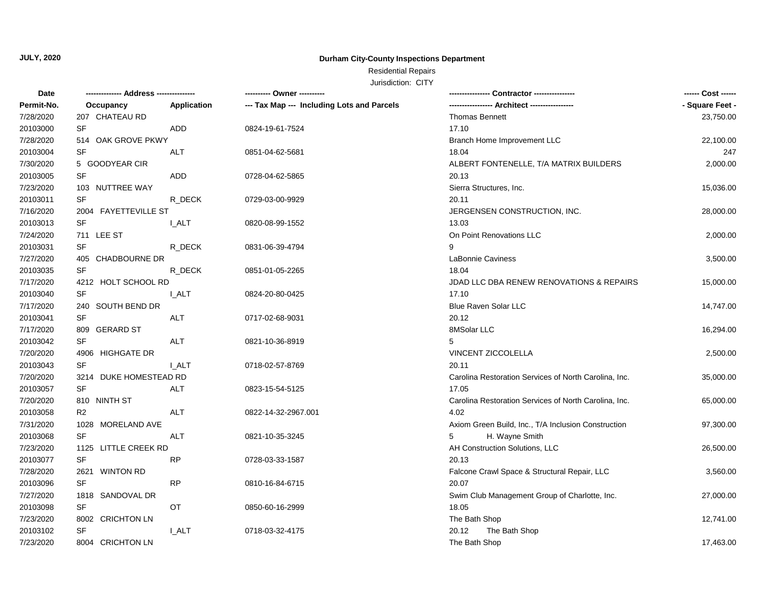## **Durham City-County Inspections Department**

Residential Repairs

| <b>Date</b> | -------------- Address --------------- |              | ---------- Owner ----------                |                                                       | ------ Cost ------ |
|-------------|----------------------------------------|--------------|--------------------------------------------|-------------------------------------------------------|--------------------|
| Permit-No.  | Occupancy                              | Application  | --- Tax Map --- Including Lots and Parcels |                                                       | - Square Feet -    |
| 7/28/2020   | 207 CHATEAU RD                         |              |                                            | <b>Thomas Bennett</b>                                 | 23,750.00          |
| 20103000    | <b>SF</b>                              | ADD          | 0824-19-61-7524                            | 17.10                                                 |                    |
| 7/28/2020   | 514 OAK GROVE PKWY                     |              |                                            | Branch Home Improvement LLC                           | 22,100.00          |
| 20103004    | SF                                     | <b>ALT</b>   | 0851-04-62-5681                            | 18.04                                                 | 247                |
| 7/30/2020   | 5 GOODYEAR CIR                         |              |                                            | ALBERT FONTENELLE, T/A MATRIX BUILDERS                | 2,000.00           |
| 20103005    | SF                                     | ADD          | 0728-04-62-5865                            | 20.13                                                 |                    |
| 7/23/2020   | 103 NUTTREE WAY                        |              |                                            | Sierra Structures, Inc.                               | 15,036.00          |
| 20103011    | <b>SF</b>                              | R DECK       | 0729-03-00-9929                            | 20.11                                                 |                    |
| 7/16/2020   | 2004 FAYETTEVILLE ST                   |              |                                            | JERGENSEN CONSTRUCTION, INC.                          | 28,000.00          |
| 20103013    | SF                                     | I ALT        | 0820-08-99-1552                            | 13.03                                                 |                    |
| 7/24/2020   | 711 LEE ST                             |              |                                            | On Point Renovations LLC                              | 2,000.00           |
| 20103031    | SF                                     | R_DECK       | 0831-06-39-4794                            | 9                                                     |                    |
| 7/27/2020   | 405 CHADBOURNE DR                      |              |                                            | LaBonnie Caviness                                     | 3,500.00           |
| 20103035    | <b>SF</b>                              | R DECK       | 0851-01-05-2265                            | 18.04                                                 |                    |
| 7/17/2020   | 4212 HOLT SCHOOL RD                    |              |                                            | JDAD LLC DBA RENEW RENOVATIONS & REPAIRS              | 15,000.00          |
| 20103040    | SF                                     | <b>L_ALT</b> | 0824-20-80-0425                            | 17.10                                                 |                    |
| 7/17/2020   | 240 SOUTH BEND DR                      |              |                                            | Blue Raven Solar LLC                                  | 14,747.00          |
| 20103041    | SF                                     | <b>ALT</b>   | 0717-02-68-9031                            | 20.12                                                 |                    |
| 7/17/2020   | 809 GERARD ST                          |              |                                            | 8MSolar LLC                                           | 16,294.00          |
| 20103042    | <b>SF</b>                              | <b>ALT</b>   | 0821-10-36-8919                            | 5                                                     |                    |
| 7/20/2020   | 4906 HIGHGATE DR                       |              |                                            | VINCENT ZICCOLELLA                                    | 2,500.00           |
| 20103043    | <b>SF</b>                              | <b>L_ALT</b> | 0718-02-57-8769                            | 20.11                                                 |                    |
| 7/20/2020   | 3214 DUKE HOMESTEAD RD                 |              |                                            | Carolina Restoration Services of North Carolina, Inc. | 35,000.00          |
| 20103057    | <b>SF</b>                              | <b>ALT</b>   | 0823-15-54-5125                            | 17.05                                                 |                    |
| 7/20/2020   | 810 NINTH ST                           |              |                                            | Carolina Restoration Services of North Carolina, Inc. | 65,000.00          |
| 20103058    | R <sub>2</sub>                         | <b>ALT</b>   | 0822-14-32-2967.001                        | 4.02                                                  |                    |
| 7/31/2020   | 1028 MORELAND AVE                      |              |                                            | Axiom Green Build, Inc., T/A Inclusion Construction   | 97,300.00          |
| 20103068    | <b>SF</b>                              | ALT          | 0821-10-35-3245                            | 5<br>H. Wayne Smith                                   |                    |
| 7/23/2020   | 1125 LITTLE CREEK RD                   |              |                                            | AH Construction Solutions, LLC                        | 26,500.00          |
| 20103077    | <b>SF</b>                              | <b>RP</b>    | 0728-03-33-1587                            | 20.13                                                 |                    |
| 7/28/2020   | 2621 WINTON RD                         |              |                                            | Falcone Crawl Space & Structural Repair, LLC          | 3,560.00           |
| 20103096    | <b>SF</b>                              | <b>RP</b>    | 0810-16-84-6715                            | 20.07                                                 |                    |
| 7/27/2020   | 1818 SANDOVAL DR                       |              |                                            | Swim Club Management Group of Charlotte, Inc.         | 27,000.00          |
| 20103098    | SF                                     | OT           | 0850-60-16-2999                            | 18.05                                                 |                    |
| 7/23/2020   | 8002 CRICHTON LN                       |              |                                            | The Bath Shop                                         | 12,741.00          |
| 20103102    | <b>SF</b>                              | I ALT        | 0718-03-32-4175                            | 20.12<br>The Bath Shop                                |                    |
| 7/23/2020   | 8004 CRICHTON LN                       |              |                                            | The Bath Shop                                         | 17,463.00          |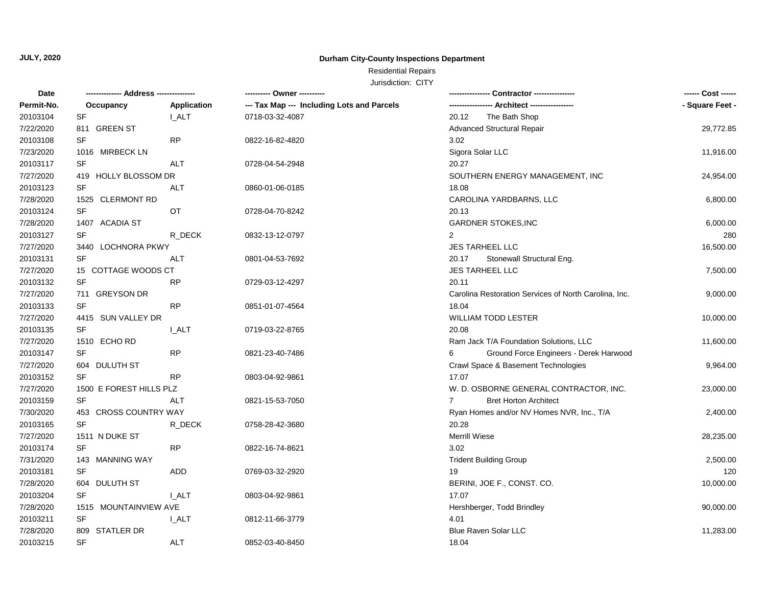## **Durham City-County Inspections Department**

Residential Repairs

| Date       | ------------- Address --------------- |              | ---------- Owner ----------                |                                                       | ------ Cost ------ |
|------------|---------------------------------------|--------------|--------------------------------------------|-------------------------------------------------------|--------------------|
| Permit-No. | Occupancy                             | Application  | --- Tax Map --- Including Lots and Parcels | -- Architect ----------                               | - Square Feet -    |
| 20103104   | <b>SF</b>                             | I ALT        | 0718-03-32-4087                            | 20.12<br>The Bath Shop                                |                    |
| 7/22/2020  | 811 GREEN ST                          |              |                                            | <b>Advanced Structural Repair</b>                     | 29,772.85          |
| 20103108   | <b>SF</b>                             | <b>RP</b>    | 0822-16-82-4820                            | 3.02                                                  |                    |
| 7/23/2020  | 1016 MIRBECK LN                       |              |                                            | Sigora Solar LLC                                      | 11,916.00          |
| 20103117   | <b>SF</b>                             | <b>ALT</b>   | 0728-04-54-2948                            | 20.27                                                 |                    |
| 7/27/2020  | 419 HOLLY BLOSSOM DR                  |              |                                            | SOUTHERN ENERGY MANAGEMENT, INC                       | 24,954.00          |
| 20103123   | SF                                    | <b>ALT</b>   | 0860-01-06-0185                            | 18.08                                                 |                    |
| 7/28/2020  | 1525 CLERMONT RD                      |              |                                            | CAROLINA YARDBARNS, LLC                               | 6,800.00           |
| 20103124   | SF                                    | <b>OT</b>    | 0728-04-70-8242                            | 20.13                                                 |                    |
| 7/28/2020  | 1407 ACADIA ST                        |              |                                            | <b>GARDNER STOKES, INC</b>                            | 6,000.00           |
| 20103127   | <b>SF</b>                             | R_DECK       | 0832-13-12-0797                            | $\overline{2}$                                        | 280                |
| 7/27/2020  | 3440 LOCHNORA PKWY                    |              |                                            | JES TARHEEL LLC                                       | 16,500.00          |
| 20103131   | SF                                    | <b>ALT</b>   | 0801-04-53-7692                            | 20.17<br>Stonewall Structural Eng.                    |                    |
| 7/27/2020  | 15 COTTAGE WOODS CT                   |              |                                            | JES TARHEEL LLC                                       | 7,500.00           |
| 20103132   | SF                                    | <b>RP</b>    | 0729-03-12-4297                            | 20.11                                                 |                    |
| 7/27/2020  | 711 GREYSON DR                        |              |                                            | Carolina Restoration Services of North Carolina, Inc. | 9,000.00           |
| 20103133   | <b>SF</b>                             | <b>RP</b>    | 0851-01-07-4564                            | 18.04                                                 |                    |
| 7/27/2020  | 4415 SUN VALLEY DR                    |              |                                            | WILLIAM TODD LESTER                                   | 10,000.00          |
| 20103135   | SF                                    | <b>L_ALT</b> | 0719-03-22-8765                            | 20.08                                                 |                    |
| 7/27/2020  | 1510 ECHO RD                          |              |                                            | Ram Jack T/A Foundation Solutions, LLC                | 11,600.00          |
| 20103147   | SF                                    | <b>RP</b>    | 0821-23-40-7486                            | Ground Force Engineers - Derek Harwood                |                    |
| 7/27/2020  | 604 DULUTH ST                         |              |                                            | Crawl Space & Basement Technologies                   | 9,964.00           |
| 20103152   | SF                                    | <b>RP</b>    | 0803-04-92-9861                            | 17.07                                                 |                    |
| 7/27/2020  | 1500 E FOREST HILLS PLZ               |              |                                            | W. D. OSBORNE GENERAL CONTRACTOR, INC.                | 23,000.00          |
| 20103159   | <b>SF</b>                             | <b>ALT</b>   | 0821-15-53-7050                            | <b>Bret Horton Architect</b><br>$7^{\circ}$           |                    |
| 7/30/2020  | 453 CROSS COUNTRY WAY                 |              |                                            | Ryan Homes and/or NV Homes NVR, Inc., T/A             | 2,400.00           |
| 20103165   | SF                                    | R_DECK       | 0758-28-42-3680                            | 20.28                                                 |                    |
| 7/27/2020  | 1511 N DUKE ST                        |              |                                            | <b>Merrill Wiese</b>                                  | 28,235.00          |
| 20103174   | <b>SF</b>                             | ${\sf RP}$   | 0822-16-74-8621                            | 3.02                                                  |                    |
| 7/31/2020  | 143 MANNING WAY                       |              |                                            | <b>Trident Building Group</b>                         | 2,500.00           |
| 20103181   | <b>SF</b>                             | <b>ADD</b>   | 0769-03-32-2920                            | 19                                                    | 120                |
| 7/28/2020  | 604 DULUTH ST                         |              |                                            | BERINI, JOE F., CONST. CO.                            | 10,000.00          |
| 20103204   | <b>SF</b>                             | I ALT        | 0803-04-92-9861                            | 17.07                                                 |                    |
| 7/28/2020  | 1515 MOUNTAINVIEW AVE                 |              |                                            | Hershberger, Todd Brindley                            | 90,000.00          |
| 20103211   | <b>SF</b>                             | I ALT        | 0812-11-66-3779                            | 4.01                                                  |                    |
| 7/28/2020  | 809 STATLER DR                        |              |                                            | <b>Blue Raven Solar LLC</b>                           | 11,283.00          |
| 20103215   | <b>SF</b>                             | <b>ALT</b>   | 0852-03-40-8450                            | 18.04                                                 |                    |